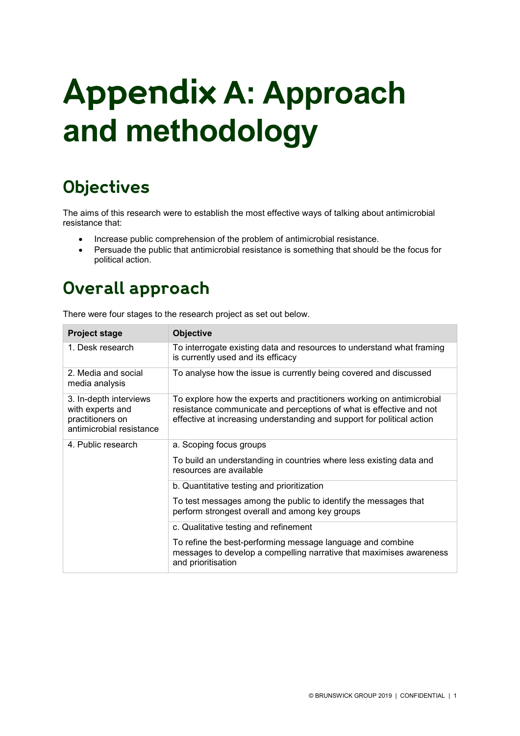# **Appendix A: Approach and methodology**

# **Objectives**

The aims of this research were to establish the most effective ways of talking about antimicrobial resistance that:

- Increase public comprehension of the problem of antimicrobial resistance.
- Persuade the public that antimicrobial resistance is something that should be the focus for political action.

# **Overall approach**

There were four stages to the research project as set out below.

| <b>Project stage</b>                                                                       | <b>Objective</b>                                                                                                                                                                                                       |  |
|--------------------------------------------------------------------------------------------|------------------------------------------------------------------------------------------------------------------------------------------------------------------------------------------------------------------------|--|
| 1. Desk research                                                                           | To interrogate existing data and resources to understand what framing<br>is currently used and its efficacy                                                                                                            |  |
| 2. Media and social<br>media analysis                                                      | To analyse how the issue is currently being covered and discussed                                                                                                                                                      |  |
| 3. In-depth interviews<br>with experts and<br>practitioners on<br>antimicrobial resistance | To explore how the experts and practitioners working on antimicrobial<br>resistance communicate and perceptions of what is effective and not<br>effective at increasing understanding and support for political action |  |
| 4. Public research                                                                         | a. Scoping focus groups                                                                                                                                                                                                |  |
|                                                                                            | To build an understanding in countries where less existing data and<br>resources are available                                                                                                                         |  |
|                                                                                            | b. Quantitative testing and prioritization                                                                                                                                                                             |  |
|                                                                                            | To test messages among the public to identify the messages that<br>perform strongest overall and among key groups                                                                                                      |  |
|                                                                                            | c. Qualitative testing and refinement                                                                                                                                                                                  |  |
|                                                                                            | To refine the best-performing message language and combine<br>messages to develop a compelling narrative that maximises awareness<br>and prioritisation                                                                |  |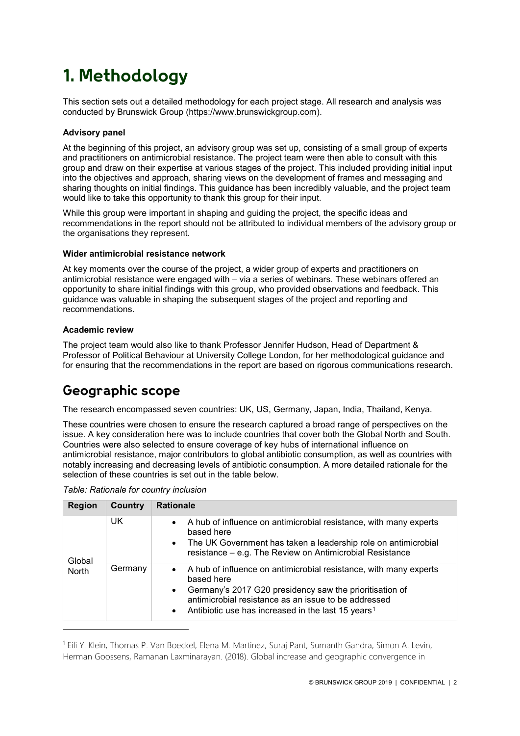# **1. Methodology**

This section sets out a detailed methodology for each project stage. All research and analysis was conducted by Brunswick Group [\(https://www.brunswickgroup.com\)](https://www.brunswickgroup.com/).

### **Advisory panel**

At the beginning of this project, an advisory group was set up, consisting of a small group of experts and practitioners on antimicrobial resistance. The project team were then able to consult with this group and draw on their expertise at various stages of the project. This included providing initial input into the objectives and approach, sharing views on the development of frames and messaging and sharing thoughts on initial findings. This guidance has been incredibly valuable, and the project team would like to take this opportunity to thank this group for their input.

While this group were important in shaping and guiding the project, the specific ideas and recommendations in the report should not be attributed to individual members of the advisory group or the organisations they represent.

### **Wider antimicrobial resistance network**

At key moments over the course of the project, a wider group of experts and practitioners on antimicrobial resistance were engaged with – via a series of webinars. These webinars offered an opportunity to share initial findings with this group, who provided observations and feedback. This guidance was valuable in shaping the subsequent stages of the project and reporting and recommendations.

### **Academic review**

-

The project team would also like to thank Professor Jennifer Hudson, Head of Department & Professor of Political Behaviour at University College London, for her methodological guidance and for ensuring that the recommendations in the report are based on rigorous communications research.

# **Geographic scope**

The research encompassed seven countries: UK, US, Germany, Japan, India, Thailand, Kenya.

These countries were chosen to ensure the research captured a broad range of perspectives on the issue. A key consideration here was to include countries that cover both the Global North and South. Countries were also selected to ensure coverage of key hubs of international influence on antimicrobial resistance, major contributors to global antibiotic consumption, as well as countries with notably increasing and decreasing levels of antibiotic consumption. A more detailed rationale for the selection of these countries is set out in the table below.

| <b>Region</b> | Country | <b>Rationale</b>                                                                                                                                                                                                                                                                                            |  |
|---------------|---------|-------------------------------------------------------------------------------------------------------------------------------------------------------------------------------------------------------------------------------------------------------------------------------------------------------------|--|
| Global        | UK      | A hub of influence on antimicrobial resistance, with many experts<br>$\bullet$<br>based here<br>The UK Government has taken a leadership role on antimicrobial<br>$\bullet$<br>resistance – e.g. The Review on Antimicrobial Resistance                                                                     |  |
| <b>North</b>  | Germany | A hub of influence on antimicrobial resistance, with many experts<br>$\bullet$<br>based here<br>Germany's 2017 G20 presidency saw the prioritisation of<br>$\bullet$<br>antimicrobial resistance as an issue to be addressed<br>Antibiotic use has increased in the last 15 years <sup>1</sup><br>$\bullet$ |  |

*Table: Rationale for country inclusion*

<span id="page-1-0"></span><sup>1</sup> Eili Y. Klein, Thomas P. Van Boeckel, Elena M. Martinez, Suraj Pant, Sumanth Gandra, Simon A. Levin, Herman Goossens, Ramanan Laxminarayan. (2018). Global increase and geographic convergence in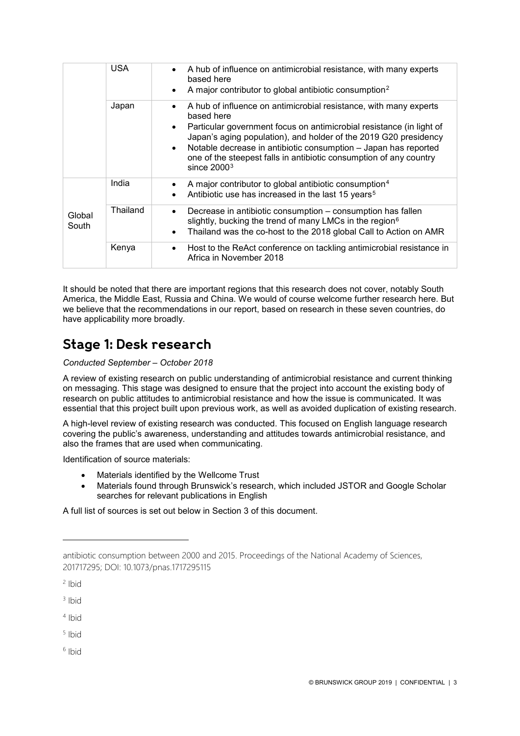|                 | <b>USA</b> | A hub of influence on antimicrobial resistance, with many experts<br>$\bullet$<br>based here<br>A major contributor to global antibiotic consumption <sup>2</sup>                                                                                                                                                                                                                                               |
|-----------------|------------|-----------------------------------------------------------------------------------------------------------------------------------------------------------------------------------------------------------------------------------------------------------------------------------------------------------------------------------------------------------------------------------------------------------------|
|                 | Japan      | A hub of influence on antimicrobial resistance, with many experts<br>based here<br>Particular government focus on antimicrobial resistance (in light of<br>$\bullet$<br>Japan's aging population), and holder of the 2019 G20 presidency<br>Notable decrease in antibiotic consumption - Japan has reported<br>$\bullet$<br>one of the steepest falls in antibiotic consumption of any country<br>since $20003$ |
|                 | India      | A major contributor to global antibiotic consumption <sup>4</sup><br>Antibiotic use has increased in the last 15 years <sup>5</sup><br>٠                                                                                                                                                                                                                                                                        |
| Global<br>South | Thailand   | Decrease in antibiotic consumption – consumption has fallen<br>$\bullet$<br>slightly, bucking the trend of many LMCs in the region <sup>6</sup><br>Thailand was the co-host to the 2018 global Call to Action on AMR                                                                                                                                                                                            |
|                 | Kenya      | Host to the ReAct conference on tackling antimicrobial resistance in<br>Africa in November 2018                                                                                                                                                                                                                                                                                                                 |
|                 |            |                                                                                                                                                                                                                                                                                                                                                                                                                 |

It should be noted that there are important regions that this research does not cover, notably South America, the Middle East, Russia and China. We would of course welcome further research here. But we believe that the recommendations in our report, based on research in these seven countries, do have applicability more broadly.

### **Stage 1: Desk research**

### *Conducted September – October 2018*

A review of existing research on public understanding of antimicrobial resistance and current thinking on messaging. This stage was designed to ensure that the project into account the existing body of research on public attitudes to antimicrobial resistance and how the issue is communicated. It was essential that this project built upon previous work, as well as avoided duplication of existing research.

A high-level review of existing research was conducted. This focused on English language research covering the public's awareness, understanding and attitudes towards antimicrobial resistance, and also the frames that are used when communicating.

Identification of source materials:

- Materials identified by the Wellcome Trust
- Materials found through Brunswick's research, which included JSTOR and Google Scholar searches for relevant publications in English

A full list of sources is set out below in Section 3 of this document.

-

<span id="page-2-1"></span> $3$  Ibid

<span id="page-2-2"></span> $4$  Ibid

<span id="page-2-3"></span><sup>5</sup> Ibid

<span id="page-2-4"></span> $6$  Ibid

antibiotic consumption between 2000 and 2015. Proceedings of the National Academy of Sciences, 201717295; DOI: 10.1073/pnas.1717295115

<span id="page-2-0"></span> $2$  Ibid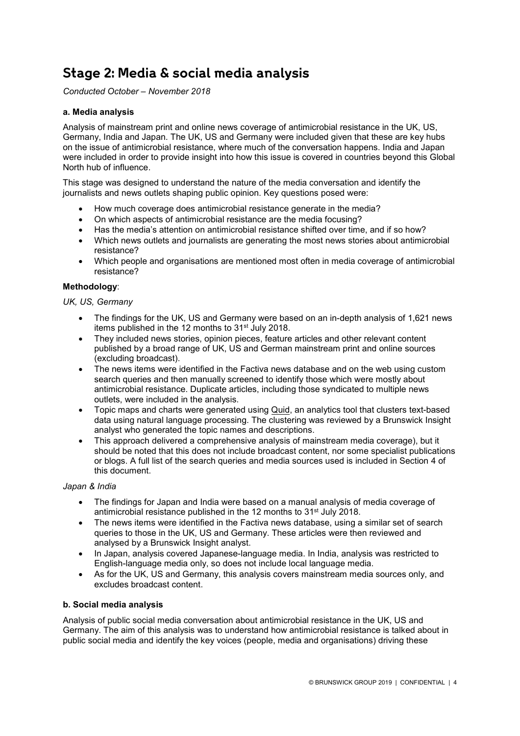# **Stage 2: Media & social media analysis**

*Conducted October – November 2018*

### **a. Media analysis**

Analysis of mainstream print and online news coverage of antimicrobial resistance in the UK, US, Germany, India and Japan. The UK, US and Germany were included given that these are key hubs on the issue of antimicrobial resistance, where much of the conversation happens. India and Japan were included in order to provide insight into how this issue is covered in countries beyond this Global North hub of influence.

This stage was designed to understand the nature of the media conversation and identify the journalists and news outlets shaping public opinion. Key questions posed were:

- How much coverage does antimicrobial resistance generate in the media?
- On which aspects of antimicrobial resistance are the media focusing?
- Has the media's attention on antimicrobial resistance shifted over time, and if so how?
- Which news outlets and journalists are generating the most news stories about antimicrobial resistance?
- Which people and organisations are mentioned most often in media coverage of antimicrobial resistance?

### **Methodology**:

### *UK, US, Germany*

- The findings for the UK, US and Germany were based on an in-depth analysis of 1,621 news items published in the 12 months to 31<sup>st</sup> July 2018.
- They included news stories, opinion pieces, feature articles and other relevant content published by a broad range of UK, US and German mainstream print and online sources (excluding broadcast).
- The news items were identified in the Factiva news database and on the web using custom search queries and then manually screened to identify those which were mostly about antimicrobial resistance. Duplicate articles, including those syndicated to multiple news outlets, were included in the analysis.
- Topic maps and charts were generated using [Quid,](https://quid.com/) an analytics tool that clusters text-based data using natural language processing. The clustering was reviewed by a Brunswick Insight analyst who generated the topic names and descriptions.
- This approach delivered a comprehensive analysis of mainstream media coverage), but it should be noted that this does not include broadcast content, nor some specialist publications or blogs. A full list of the search queries and media sources used is included in Section 4 of this document.

### *Japan & India*

- The findings for Japan and India were based on a manual analysis of media coverage of antimicrobial resistance published in the 12 months to 31st July 2018.
- The news items were identified in the Factiva news database, using a similar set of search queries to those in the UK, US and Germany. These articles were then reviewed and analysed by a Brunswick Insight analyst.
- In Japan, analysis covered Japanese-language media. In India, analysis was restricted to English-language media only, so does not include local language media.
- As for the UK, US and Germany, this analysis covers mainstream media sources only, and excludes broadcast content.

### **b. Social media analysis**

Analysis of public social media conversation about antimicrobial resistance in the UK, US and Germany. The aim of this analysis was to understand how antimicrobial resistance is talked about in public social media and identify the key voices (people, media and organisations) driving these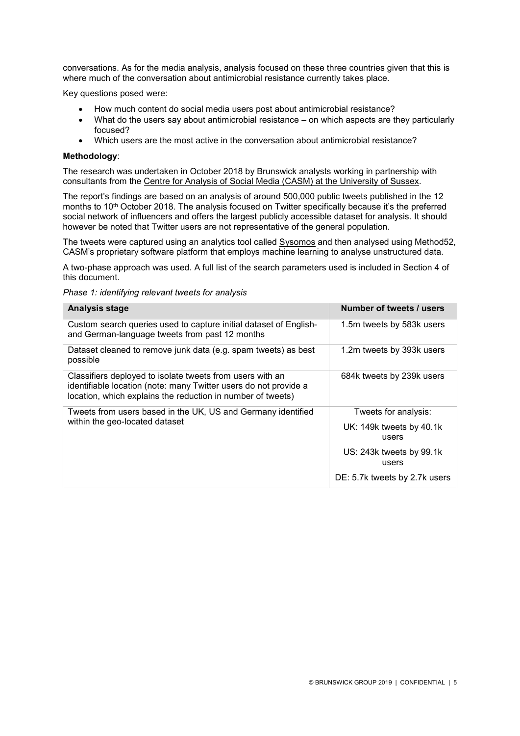conversations. As for the media analysis, analysis focused on these three countries given that this is where much of the conversation about antimicrobial resistance currently takes place.

Key questions posed were:

- How much content do social media users post about antimicrobial resistance?
- What do the users say about antimicrobial resistance on which aspects are they particularly focused?
- Which users are the most active in the conversation about antimicrobial resistance?

#### **Methodology**:

The research was undertaken in October 2018 by Brunswick analysts working in partnership with consultants from the [Centre for Analysis of Social Media \(CASM\) at the University of Sussex.](https://demos.co.uk/research-area/casm/)

The report's findings are based on an analysis of around 500,000 public tweets published in the 12 months to 10<sup>th</sup> October 2018. The analysis focused on Twitter specifically because it's the preferred social network of influencers and offers the largest publicly accessible dataset for analysis. It should however be noted that Twitter users are not representative of the general population.

The tweets were captured using an analytics tool called [Sysomos](https://sysomos.com/) and then analysed using Method52, CASM's proprietary software platform that employs machine learning to analyse unstructured data.

A two-phase approach was used. A full list of the search parameters used is included in Section 4 of this document.

*Phase 1: identifying relevant tweets for analysis*

| <b>Analysis stage</b>                                                                                                                                                                        | Number of tweets / users          |
|----------------------------------------------------------------------------------------------------------------------------------------------------------------------------------------------|-----------------------------------|
| Custom search queries used to capture initial dataset of English-<br>and German-language tweets from past 12 months                                                                          | 1.5m tweets by 583k users         |
| Dataset cleaned to remove junk data (e.g. spam tweets) as best<br>possible                                                                                                                   | 1.2m tweets by 393k users         |
| Classifiers deployed to isolate tweets from users with an<br>identifiable location (note: many Twitter users do not provide a<br>location, which explains the reduction in number of tweets) | 684k tweets by 239k users         |
| Tweets from users based in the UK, US and Germany identified                                                                                                                                 | Tweets for analysis:              |
| within the geo-located dataset                                                                                                                                                               | UK: 149k tweets by 40.1k<br>users |
|                                                                                                                                                                                              | US: 243k tweets by 99.1k<br>users |
|                                                                                                                                                                                              | DE: 5.7k tweets by 2.7k users     |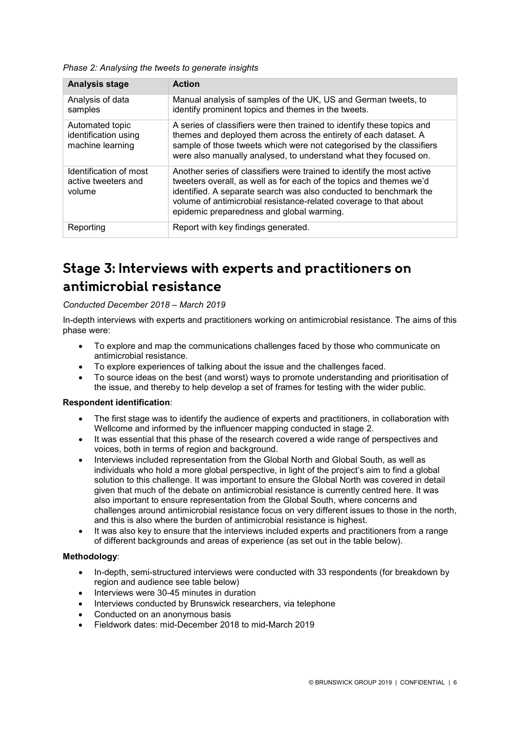*Phase 2: Analysing the tweets to generate insights* 

| <b>Analysis stage</b>                                       | <b>Action</b>                                                                                                                                                                                                                                                                                                                        |  |
|-------------------------------------------------------------|--------------------------------------------------------------------------------------------------------------------------------------------------------------------------------------------------------------------------------------------------------------------------------------------------------------------------------------|--|
| Analysis of data<br>samples                                 | Manual analysis of samples of the UK, US and German tweets, to<br>identify prominent topics and themes in the tweets.                                                                                                                                                                                                                |  |
| Automated topic<br>identification using<br>machine learning | A series of classifiers were then trained to identify these topics and<br>themes and deployed them across the entirety of each dataset. A<br>sample of those tweets which were not categorised by the classifiers<br>were also manually analysed, to understand what they focused on.                                                |  |
| Identification of most<br>active tweeters and<br>volume     | Another series of classifiers were trained to identify the most active<br>tweeters overall, as well as for each of the topics and themes we'd<br>identified. A separate search was also conducted to benchmark the<br>volume of antimicrobial resistance-related coverage to that about<br>epidemic preparedness and global warming. |  |
| Reporting                                                   | Report with key findings generated.                                                                                                                                                                                                                                                                                                  |  |

# **Stage 3: Interviews with experts and practitioners on antimicrobial resistance**

### *Conducted December 2018 – March 2019*

In-depth interviews with experts and practitioners working on antimicrobial resistance. The aims of this phase were:

- To explore and map the communications challenges faced by those who communicate on antimicrobial resistance.
- To explore experiences of talking about the issue and the challenges faced.
- To source ideas on the best (and worst) ways to promote understanding and prioritisation of the issue, and thereby to help develop a set of frames for testing with the wider public.

### **Respondent identification**:

- The first stage was to identify the audience of experts and practitioners, in collaboration with Wellcome and informed by the influencer mapping conducted in stage 2.
- It was essential that this phase of the research covered a wide range of perspectives and voices, both in terms of region and background.
- Interviews included representation from the Global North and Global South, as well as individuals who hold a more global perspective, in light of the project's aim to find a global solution to this challenge. It was important to ensure the Global North was covered in detail given that much of the debate on antimicrobial resistance is currently centred here. It was also important to ensure representation from the Global South, where concerns and challenges around antimicrobial resistance focus on very different issues to those in the north, and this is also where the burden of antimicrobial resistance is highest.
- It was also key to ensure that the interviews included experts and practitioners from a range of different backgrounds and areas of experience (as set out in the table below).

### **Methodology**:

- In-depth, semi-structured interviews were conducted with 33 respondents (for breakdown by region and audience see table below)
- Interviews were 30-45 minutes in duration
- Interviews conducted by Brunswick researchers, via telephone
- Conducted on an anonymous basis
- Fieldwork dates: mid-December 2018 to mid-March 2019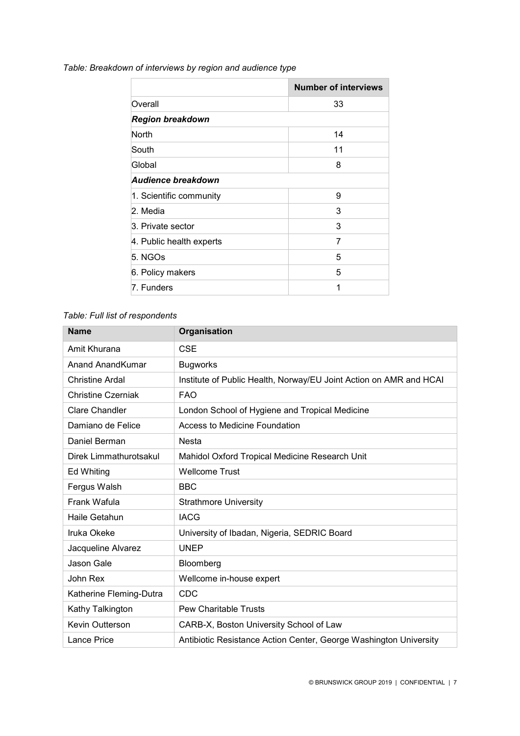| Table: Breakdown of interviews by region and audience type |  |  |  |  |
|------------------------------------------------------------|--|--|--|--|
|------------------------------------------------------------|--|--|--|--|

É

|                          | <b>Number of interviews</b> |
|--------------------------|-----------------------------|
| Overall                  | 33                          |
| <b>Region breakdown</b>  |                             |
| <b>North</b>             | 14                          |
| South                    | 11                          |
| Global                   | 8                           |
| Audience breakdown       |                             |
| 1. Scientific community  | 9                           |
| 2. Media                 | 3                           |
| 3. Private sector        | 3                           |
| 4. Public health experts | 7                           |
| 5. NGOs                  | 5                           |
| 6. Policy makers         | 5                           |
| 7. Funders               | 1                           |

÷

### *Table: Full list of respondents*

| <b>Name</b>               | Organisation                                                       |
|---------------------------|--------------------------------------------------------------------|
| Amit Khurana              | <b>CSE</b>                                                         |
| <b>Anand AnandKumar</b>   | <b>Bugworks</b>                                                    |
| <b>Christine Ardal</b>    | Institute of Public Health, Norway/EU Joint Action on AMR and HCAI |
| <b>Christine Czerniak</b> | <b>FAO</b>                                                         |
| <b>Clare Chandler</b>     | London School of Hygiene and Tropical Medicine                     |
| Damiano de Felice         | Access to Medicine Foundation                                      |
| Daniel Berman             | <b>Nesta</b>                                                       |
| Direk Limmathurotsakul    | Mahidol Oxford Tropical Medicine Research Unit                     |
| Ed Whiting                | <b>Wellcome Trust</b>                                              |
| Fergus Walsh              | <b>BBC</b>                                                         |
| Frank Wafula              | <b>Strathmore University</b>                                       |
| Haile Getahun             | <b>IACG</b>                                                        |
| Iruka Okeke               | University of Ibadan, Nigeria, SEDRIC Board                        |
| Jacqueline Alvarez        | <b>UNEP</b>                                                        |
| Jason Gale                | Bloomberg                                                          |
| John Rex                  | Wellcome in-house expert                                           |
| Katherine Fleming-Dutra   | <b>CDC</b>                                                         |
| Kathy Talkington          | <b>Pew Charitable Trusts</b>                                       |
| Kevin Outterson           | CARB-X, Boston University School of Law                            |
| Lance Price               | Antibiotic Resistance Action Center, George Washington University  |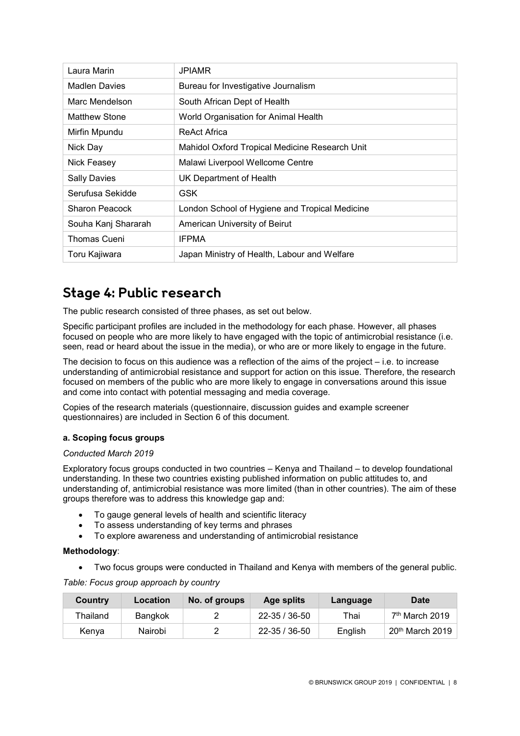| Laura Marin           | <b>JPIAMR</b>                                  |
|-----------------------|------------------------------------------------|
| <b>Madlen Davies</b>  | Bureau for Investigative Journalism            |
| Marc Mendelson        | South African Dept of Health                   |
| Matthew Stone         | World Organisation for Animal Health           |
| Mirfin Mpundu         | <b>ReAct Africa</b>                            |
| Nick Day              | Mahidol Oxford Tropical Medicine Research Unit |
| Nick Feasey           | Malawi Liverpool Wellcome Centre               |
| <b>Sally Davies</b>   | UK Department of Health                        |
| Serufusa Sekidde      | <b>GSK</b>                                     |
| <b>Sharon Peacock</b> | London School of Hygiene and Tropical Medicine |
| Souha Kanj Shararah   | American University of Beirut                  |
| Thomas Cueni          | <b>IFPMA</b>                                   |
| Toru Kajiwara         | Japan Ministry of Health, Labour and Welfare   |

# **Stage 4: Public research**

The public research consisted of three phases, as set out below.

Specific participant profiles are included in the methodology for each phase. However, all phases focused on people who are more likely to have engaged with the topic of antimicrobial resistance (i.e. seen, read or heard about the issue in the media), or who are or more likely to engage in the future.

The decision to focus on this audience was a reflection of the aims of the project – i.e. to increase understanding of antimicrobial resistance and support for action on this issue. Therefore, the research focused on members of the public who are more likely to engage in conversations around this issue and come into contact with potential messaging and media coverage.

Copies of the research materials (questionnaire, discussion guides and example screener questionnaires) are included in Section 6 of this document.

### **a. Scoping focus groups**

### *Conducted March 2019*

Exploratory focus groups conducted in two countries – Kenya and Thailand – to develop foundational understanding. In these two countries existing published information on public attitudes to, and understanding of, antimicrobial resistance was more limited (than in other countries). The aim of these groups therefore was to address this knowledge gap and:

- To gauge general levels of health and scientific literacy
- To assess understanding of key terms and phrases
- To explore awareness and understanding of antimicrobial resistance

### **Methodology**:

• Two focus groups were conducted in Thailand and Kenya with members of the general public.

*Table: Focus group approach by country*

| Country  | Location | No. of groups | Age splits    | Language | <b>Date</b>                 |
|----------|----------|---------------|---------------|----------|-----------------------------|
| Thailand | Bangkok  |               | 22-35 / 36-50 | Thai     | 7 <sup>th</sup> March 2019  |
| Kenva    | Nairobi  |               | 22-35 / 36-50 | Enalish  | 20 <sup>th</sup> March 2019 |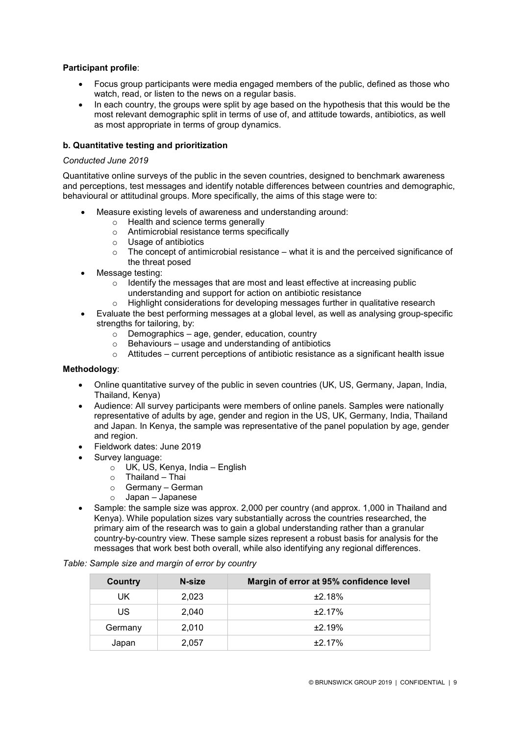### **Participant profile**:

- Focus group participants were media engaged members of the public, defined as those who watch, read, or listen to the news on a regular basis.
- In each country, the groups were split by age based on the hypothesis that this would be the most relevant demographic split in terms of use of, and attitude towards, antibiotics, as well as most appropriate in terms of group dynamics.

### **b. Quantitative testing and prioritization**

### *Conducted June 2019*

Quantitative online surveys of the public in the seven countries, designed to benchmark awareness and perceptions, test messages and identify notable differences between countries and demographic, behavioural or attitudinal groups. More specifically, the aims of this stage were to:

- Measure existing levels of awareness and understanding around:
	- o Health and science terms generally
	- o Antimicrobial resistance terms specifically
	- o Usage of antibiotics
	- $\circ$  The concept of antimicrobial resistance what it is and the perceived significance of the threat posed
- Message testing:
	- $\circ$  Identify the messages that are most and least effective at increasing public understanding and support for action on antibiotic resistance
	- o Highlight considerations for developing messages further in qualitative research
- Evaluate the best performing messages at a global level, as well as analysing group-specific strengths for tailoring, by:
	- $\circ$  Demographics age, gender, education, country
	- o Behaviours usage and understanding of antibiotics
	- $\circ$  Attitudes current perceptions of antibiotic resistance as a significant health issue

### **Methodology**:

- Online quantitative survey of the public in seven countries (UK, US, Germany, Japan, India, Thailand, Kenya)
- Audience: All survey participants were members of online panels. Samples were nationally representative of adults by age, gender and region in the US, UK, Germany, India, Thailand and Japan. In Kenya, the sample was representative of the panel population by age, gender and region.
- Fieldwork dates: June 2019
- Survey language:
	- $\circ$  UK, US, Kenya, India English
	- $\circ$  Thailand Thai
	- Germany German
	- o Japan Japanese
- Sample: the sample size was approx. 2,000 per country (and approx. 1,000 in Thailand and Kenya). While population sizes vary substantially across the countries researched, the primary aim of the research was to gain a global understanding rather than a granular country-by-country view. These sample sizes represent a robust basis for analysis for the messages that work best both overall, while also identifying any regional differences.

| Country | N-size | Margin of error at 95% confidence level |
|---------|--------|-----------------------------------------|
| UK.     | 2,023  | ±2.18%                                  |
| US      | 2.040  | $+2.17%$                                |
| Germany | 2.010  | ±2.19%                                  |
| Japan   | 2,057  | $+2.17%$                                |

*Table: Sample size and margin of error by country*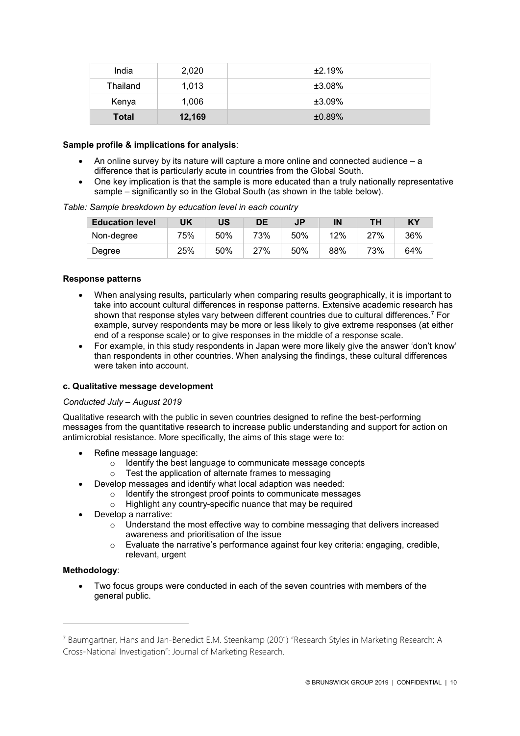| India        | 2.020  | ±2.19% |
|--------------|--------|--------|
| Thailand     | 1.013  | ±3.08% |
| Kenya        | 1.006  | ±3.09% |
| <b>Total</b> | 12,169 | ±0.89% |

### **Sample profile & implications for analysis**:

- An online survey by its nature will capture a more online and connected audience a difference that is particularly acute in countries from the Global South.
- One key implication is that the sample is more educated than a truly nationally representative sample – significantly so in the Global South (as shown in the table below).

| <b>Education level</b> | UK  | US  | DE  | <b>JP</b> | IN  | ΤН  | KY  |
|------------------------|-----|-----|-----|-----------|-----|-----|-----|
| Non-degree             | 75% | 50% | 73% | 50%       | 12% | 27% | 36% |
| Degree                 | 25% | 50% | 27% | 50%       | 88% | 73% | 64% |

### **Response patterns**

- When analysing results, particularly when comparing results geographically, it is important to take into account cultural differences in response patterns. Extensive academic research has shown that response styles vary between different countries due to cultural differences.[7](#page-9-0) For example, survey respondents may be more or less likely to give extreme responses (at either end of a response scale) or to give responses in the middle of a response scale.
- For example, in this study respondents in Japan were more likely give the answer 'don't know' than respondents in other countries. When analysing the findings, these cultural differences were taken into account.

### **c. Qualitative message development**

### *Conducted July – August 2019*

Qualitative research with the public in seven countries designed to refine the best-performing messages from the quantitative research to increase public understanding and support for action on antimicrobial resistance. More specifically, the aims of this stage were to:

- Refine message language:
	- $\circ$  Identify the best language to communicate message concepts  $\circ$  Test the application of alternate frames to messaging
	- Test the application of alternate frames to messaging
- Develop messages and identify what local adaption was needed:
	- $\circ$  Identify the strongest proof points to communicate messages<br>  $\circ$  Highlight any country-specific nuance that may be required
	- Highlight any country-specific nuance that may be required
- Develop a narrative:
	- $\circ$  Understand the most effective way to combine messaging that delivers increased awareness and prioritisation of the issue
	- $\circ$  Evaluate the narrative's performance against four key criteria: engaging, credible, relevant, urgent

### **Methodology**:

-

• Two focus groups were conducted in each of the seven countries with members of the general public.

<span id="page-9-0"></span><sup>7</sup> Baumgartner, Hans and Jan-Benedict E.M. Steenkamp (2001) "Research Styles in Marketing Research: A Cross-National Investigation": Journal of Marketing Research.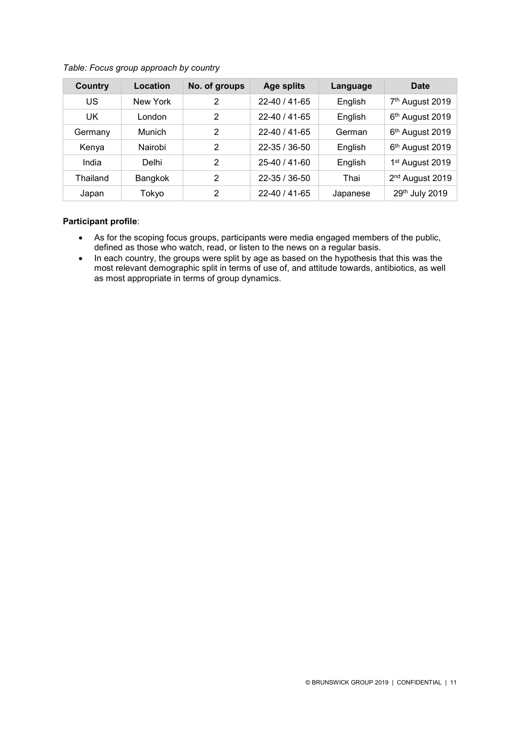| Country  | Location      | No. of groups | <b>Age splits</b>   | Language | Date                        |
|----------|---------------|---------------|---------------------|----------|-----------------------------|
| US       | New York      | 2             | $22 - 40 / 41 - 65$ | English  | 7 <sup>th</sup> August 2019 |
| UK       | London        | 2             | $22 - 40 / 41 - 65$ | English  | 6 <sup>th</sup> August 2019 |
| Germany  | <b>Munich</b> | 2             | $22 - 40 / 41 - 65$ | German   | 6 <sup>th</sup> August 2019 |
| Kenya    | Nairobi       | 2             | $22 - 35 / 36 - 50$ | English  | 6 <sup>th</sup> August 2019 |
| India    | Delhi         | 2             | $25 - 40 / 41 - 60$ | English  | 1 <sup>st</sup> August 2019 |
| Thailand | Bangkok       | 2             | $22 - 35 / 36 - 50$ | Thai     | 2 <sup>nd</sup> August 2019 |
| Japan    | Tokyo         | 2             | $22 - 40 / 41 - 65$ | Japanese | 29th July 2019              |

### *Table: Focus group approach by country*

### **Participant profile**:

- As for the scoping focus groups, participants were media engaged members of the public, defined as those who watch, read, or listen to the news on a regular basis.
- In each country, the groups were split by age as based on the hypothesis that this was the most relevant demographic split in terms of use of, and attitude towards, antibiotics, as well as most appropriate in terms of group dynamics.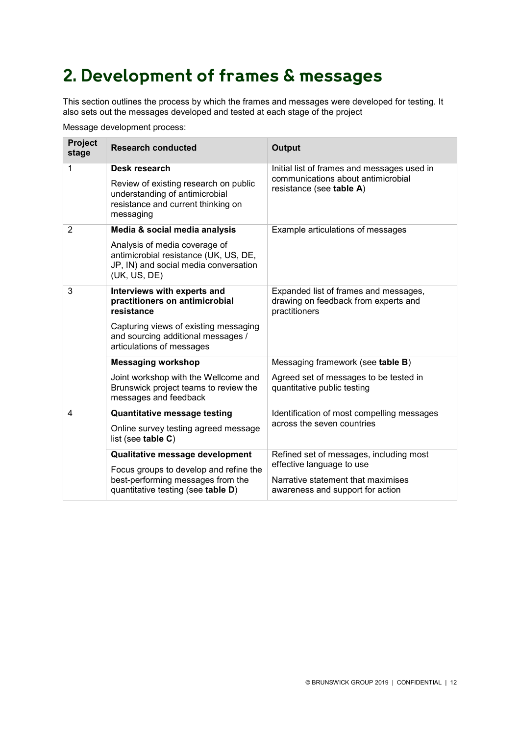# **2. Development of frames & messages**

This section outlines the process by which the frames and messages were developed for testing. It also sets out the messages developed and tested at each stage of the project

Message development process:

| <b>Project</b><br>stage | <b>Research conducted</b>                                                                                                       | <b>Output</b>                                                                                  |  |
|-------------------------|---------------------------------------------------------------------------------------------------------------------------------|------------------------------------------------------------------------------------------------|--|
| 1                       | Desk research                                                                                                                   | Initial list of frames and messages used in                                                    |  |
|                         | Review of existing research on public<br>understanding of antimicrobial<br>resistance and current thinking on<br>messaging      | communications about antimicrobial<br>resistance (see table A)                                 |  |
| $\overline{2}$          | Media & social media analysis                                                                                                   | Example articulations of messages                                                              |  |
|                         | Analysis of media coverage of<br>antimicrobial resistance (UK, US, DE,<br>JP, IN) and social media conversation<br>(UK, US, DE) |                                                                                                |  |
| 3                       | Interviews with experts and<br>practitioners on antimicrobial<br>resistance                                                     | Expanded list of frames and messages,<br>drawing on feedback from experts and<br>practitioners |  |
|                         | Capturing views of existing messaging<br>and sourcing additional messages /<br>articulations of messages                        |                                                                                                |  |
|                         | <b>Messaging workshop</b>                                                                                                       | Messaging framework (see table B)                                                              |  |
|                         | Joint workshop with the Wellcome and<br>Brunswick project teams to review the<br>messages and feedback                          | Agreed set of messages to be tested in<br>quantitative public testing                          |  |
| 4                       | <b>Quantitative message testing</b>                                                                                             | Identification of most compelling messages                                                     |  |
|                         | Online survey testing agreed message<br>list (see table C)                                                                      | across the seven countries                                                                     |  |
|                         | Qualitative message development                                                                                                 | Refined set of messages, including most                                                        |  |
|                         | Focus groups to develop and refine the                                                                                          | effective language to use                                                                      |  |
|                         | best-performing messages from the<br>quantitative testing (see table D)                                                         | Narrative statement that maximises<br>awareness and support for action                         |  |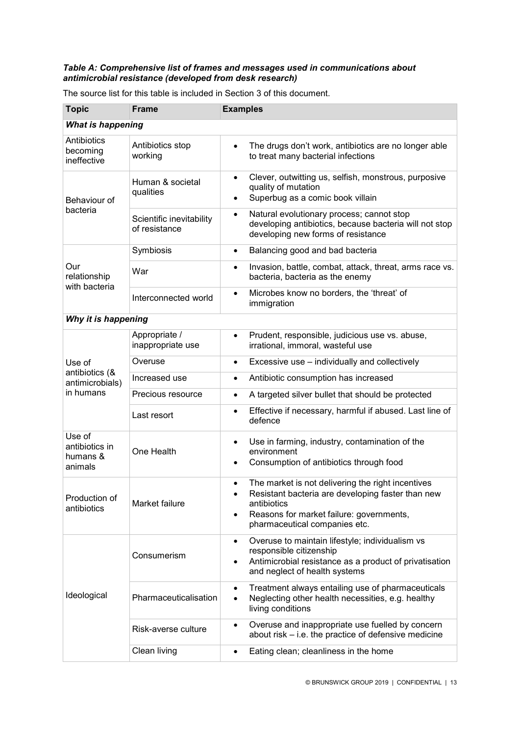### *Table A: Comprehensive list of frames and messages used in communications about antimicrobial resistance (developed from desk research)*

| <b>Topic</b>                                    | <b>Frame</b>                              | <b>Examples</b>                                                                                                                                                                                                              |  |  |
|-------------------------------------------------|-------------------------------------------|------------------------------------------------------------------------------------------------------------------------------------------------------------------------------------------------------------------------------|--|--|
|                                                 | <b>What is happening</b>                  |                                                                                                                                                                                                                              |  |  |
| Antibiotics<br>becoming<br>ineffective          | Antibiotics stop<br>working               | The drugs don't work, antibiotics are no longer able<br>$\bullet$<br>to treat many bacterial infections                                                                                                                      |  |  |
| Behaviour of                                    | Human & societal<br>qualities             | Clever, outwitting us, selfish, monstrous, purposive<br>$\bullet$<br>quality of mutation<br>Superbug as a comic book villain<br>$\bullet$                                                                                    |  |  |
| bacteria                                        | Scientific inevitability<br>of resistance | Natural evolutionary process; cannot stop<br>$\bullet$<br>developing antibiotics, because bacteria will not stop<br>developing new forms of resistance                                                                       |  |  |
|                                                 | Symbiosis                                 | Balancing good and bad bacteria<br>$\bullet$                                                                                                                                                                                 |  |  |
| Our<br>relationship<br>with bacteria            | War                                       | Invasion, battle, combat, attack, threat, arms race vs.<br>$\bullet$<br>bacteria, bacteria as the enemy                                                                                                                      |  |  |
|                                                 | Interconnected world                      | Microbes know no borders, the 'threat' of<br>$\bullet$<br>immigration                                                                                                                                                        |  |  |
| Why it is happening                             |                                           |                                                                                                                                                                                                                              |  |  |
|                                                 | Appropriate /<br>inappropriate use        | Prudent, responsible, judicious use vs. abuse,<br>$\bullet$<br>irrational, immoral, wasteful use                                                                                                                             |  |  |
| Use of                                          | Overuse                                   | Excessive use - individually and collectively<br>$\bullet$                                                                                                                                                                   |  |  |
| antibiotics (&<br>antimicrobials)               | Increased use                             | Antibiotic consumption has increased<br>$\bullet$                                                                                                                                                                            |  |  |
| in humans                                       | Precious resource                         | A targeted silver bullet that should be protected<br>$\bullet$                                                                                                                                                               |  |  |
|                                                 | Last resort                               | Effective if necessary, harmful if abused. Last line of<br>$\bullet$<br>defence                                                                                                                                              |  |  |
| Use of<br>antibiotics in<br>humans &<br>animals | One Health                                | Use in farming, industry, contamination of the<br>$\bullet$<br>environment<br>Consumption of antibiotics through food<br>$\bullet$                                                                                           |  |  |
| Production of<br>antibiotics                    | Market failure                            | The market is not delivering the right incentives<br>$\bullet$<br>Resistant bacteria are developing faster than new<br>antibiotics<br>Reasons for market failure: governments,<br>$\bullet$<br>pharmaceutical companies etc. |  |  |
| Ideological                                     | Consumerism                               | Overuse to maintain lifestyle; individualism vs<br>$\bullet$<br>responsible citizenship<br>Antimicrobial resistance as a product of privatisation<br>$\bullet$<br>and neglect of health systems                              |  |  |
|                                                 | Pharmaceuticalisation                     | Treatment always entailing use of pharmaceuticals<br>$\bullet$<br>Neglecting other health necessities, e.g. healthy<br>$\bullet$<br>living conditions                                                                        |  |  |
|                                                 | Risk-averse culture                       | Overuse and inappropriate use fuelled by concern<br>$\bullet$<br>about risk – i.e. the practice of defensive medicine                                                                                                        |  |  |
|                                                 | Clean living                              | Eating clean; cleanliness in the home<br>٠                                                                                                                                                                                   |  |  |

The source list for this table is included in Section 3 of this document.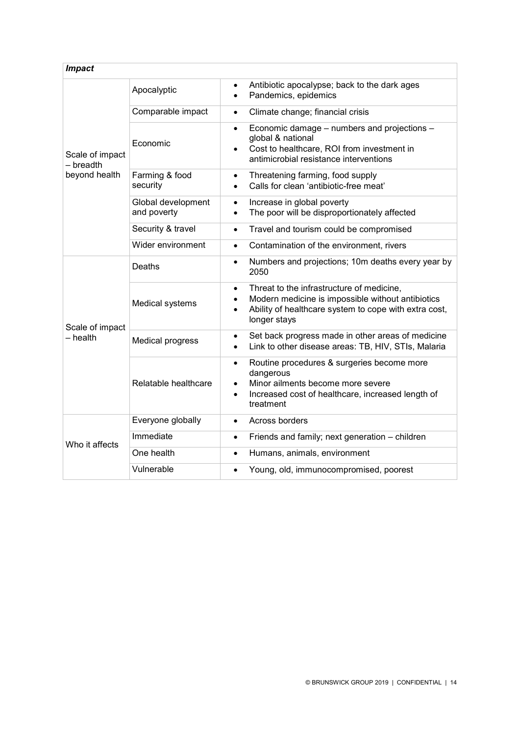| <b>Impact</b>                                 |                                   |                                                                                                                                                                                                                |
|-----------------------------------------------|-----------------------------------|----------------------------------------------------------------------------------------------------------------------------------------------------------------------------------------------------------------|
|                                               | Apocalyptic                       | Antibiotic apocalypse; back to the dark ages<br>Pandemics, epidemics<br>$\bullet$                                                                                                                              |
|                                               | Comparable impact                 | Climate change; financial crisis<br>$\bullet$                                                                                                                                                                  |
| Scale of impact<br>- breadth<br>beyond health | Economic                          | Economic damage - numbers and projections -<br>$\bullet$<br>global & national<br>Cost to healthcare, ROI from investment in<br>$\bullet$<br>antimicrobial resistance interventions                             |
|                                               | Farming & food<br>security        | Threatening farming, food supply<br>$\bullet$<br>Calls for clean 'antibiotic-free meat'<br>$\bullet$                                                                                                           |
|                                               | Global development<br>and poverty | Increase in global poverty<br>$\bullet$<br>The poor will be disproportionately affected<br>$\bullet$                                                                                                           |
|                                               | Security & travel                 | Travel and tourism could be compromised<br>$\bullet$                                                                                                                                                           |
|                                               | Wider environment                 | Contamination of the environment, rivers<br>$\bullet$                                                                                                                                                          |
| Scale of impact<br>– health                   | Deaths                            | Numbers and projections; 10m deaths every year by<br>$\bullet$<br>2050                                                                                                                                         |
|                                               | Medical systems                   | Threat to the infrastructure of medicine,<br>$\bullet$<br>Modern medicine is impossible without antibiotics<br>$\bullet$<br>Ability of healthcare system to cope with extra cost,<br>$\bullet$<br>longer stays |
|                                               | <b>Medical progress</b>           | Set back progress made in other areas of medicine<br>$\bullet$<br>Link to other disease areas: TB, HIV, STIs, Malaria                                                                                          |
|                                               | Relatable healthcare              | Routine procedures & surgeries become more<br>$\bullet$<br>dangerous<br>Minor ailments become more severe<br>Increased cost of healthcare, increased length of<br>$\bullet$<br>treatment                       |
|                                               | Everyone globally                 | Across borders<br>$\bullet$                                                                                                                                                                                    |
| Who it affects                                | Immediate                         | Friends and family; next generation - children<br>$\bullet$                                                                                                                                                    |
|                                               | One health                        | Humans, animals, environment<br>$\bullet$                                                                                                                                                                      |
|                                               | Vulnerable                        | Young, old, immunocompromised, poorest<br>$\bullet$                                                                                                                                                            |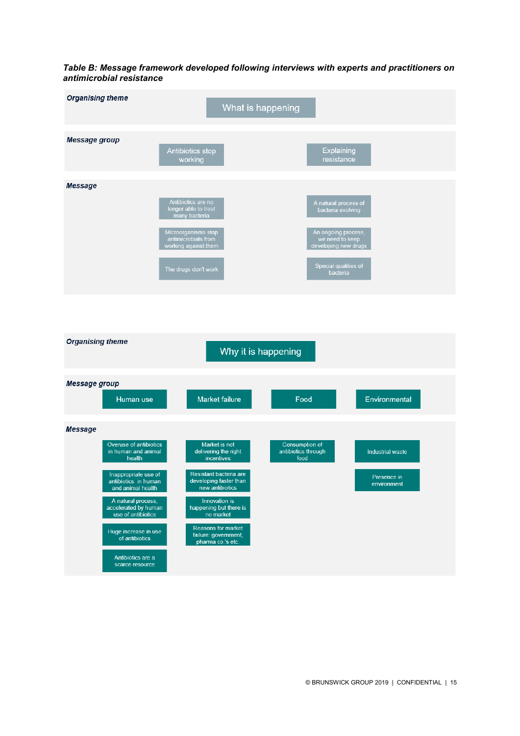*Table B: Message framework developed following interviews with experts and practitioners on antimicrobial resistance*

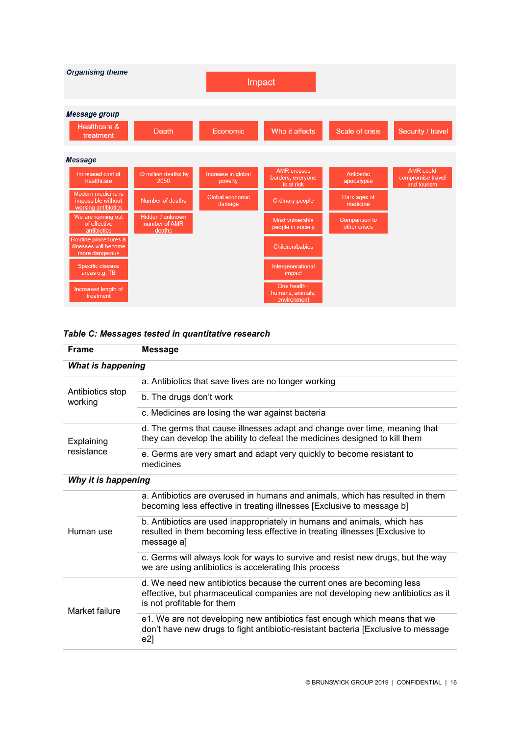

### *Table C: Messages tested in quantitative research*

| <b>Frame</b>                | <b>Message</b>                                                                                                                                                                          |  |
|-----------------------------|-----------------------------------------------------------------------------------------------------------------------------------------------------------------------------------------|--|
| <b>What is happening</b>    |                                                                                                                                                                                         |  |
|                             | a. Antibiotics that save lives are no longer working                                                                                                                                    |  |
| Antibiotics stop<br>working | b. The drugs don't work                                                                                                                                                                 |  |
|                             | c. Medicines are losing the war against bacteria                                                                                                                                        |  |
| Explaining<br>resistance    | d. The germs that cause illnesses adapt and change over time, meaning that<br>they can develop the ability to defeat the medicines designed to kill them                                |  |
|                             | e. Germs are very smart and adapt very quickly to become resistant to<br>medicines                                                                                                      |  |
| Why it is happening         |                                                                                                                                                                                         |  |
| Human use                   | a. Antibiotics are overused in humans and animals, which has resulted in them<br>becoming less effective in treating illnesses [Exclusive to message b]                                 |  |
|                             | b. Antibiotics are used inappropriately in humans and animals, which has<br>resulted in them becoming less effective in treating illnesses [Exclusive to<br>message a]                  |  |
|                             | c. Germs will always look for ways to survive and resist new drugs, but the way<br>we are using antibiotics is accelerating this process                                                |  |
| Market failure              | d. We need new antibiotics because the current ones are becoming less<br>effective, but pharmaceutical companies are not developing new antibiotics as it<br>is not profitable for them |  |
|                             | e1. We are not developing new antibiotics fast enough which means that we<br>don't have new drugs to fight antibiotic-resistant bacteria [Exclusive to message<br>$e2$ ]                |  |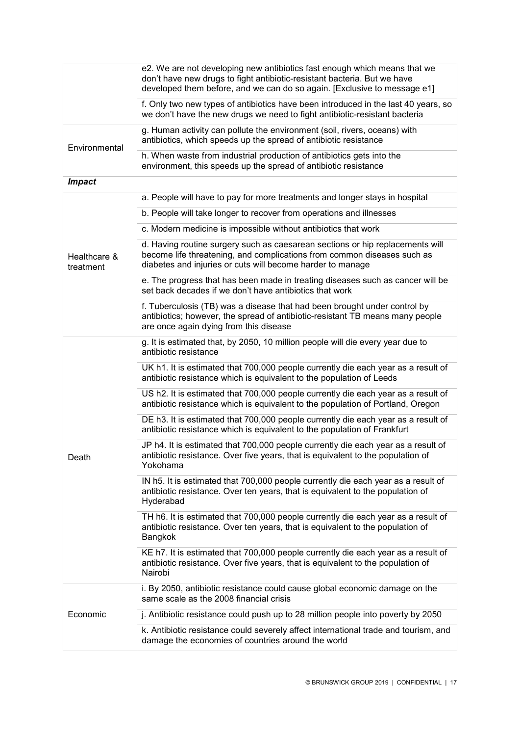|                           | e2. We are not developing new antibiotics fast enough which means that we<br>don't have new drugs to fight antibiotic-resistant bacteria. But we have<br>developed them before, and we can do so again. [Exclusive to message e1] |
|---------------------------|-----------------------------------------------------------------------------------------------------------------------------------------------------------------------------------------------------------------------------------|
|                           | f. Only two new types of antibiotics have been introduced in the last 40 years, so<br>we don't have the new drugs we need to fight antibiotic-resistant bacteria                                                                  |
| Environmental             | g. Human activity can pollute the environment (soil, rivers, oceans) with<br>antibiotics, which speeds up the spread of antibiotic resistance                                                                                     |
|                           | h. When waste from industrial production of antibiotics gets into the<br>environment, this speeds up the spread of antibiotic resistance                                                                                          |
| <b>Impact</b>             |                                                                                                                                                                                                                                   |
|                           | a. People will have to pay for more treatments and longer stays in hospital                                                                                                                                                       |
|                           | b. People will take longer to recover from operations and illnesses                                                                                                                                                               |
|                           | c. Modern medicine is impossible without antibiotics that work                                                                                                                                                                    |
| Healthcare &<br>treatment | d. Having routine surgery such as caesarean sections or hip replacements will<br>become life threatening, and complications from common diseases such as<br>diabetes and injuries or cuts will become harder to manage            |
|                           | e. The progress that has been made in treating diseases such as cancer will be<br>set back decades if we don't have antibiotics that work                                                                                         |
|                           | f. Tuberculosis (TB) was a disease that had been brought under control by<br>antibiotics; however, the spread of antibiotic-resistant TB means many people<br>are once again dying from this disease                              |
|                           | g. It is estimated that, by 2050, 10 million people will die every year due to<br>antibiotic resistance                                                                                                                           |
|                           | UK h1. It is estimated that 700,000 people currently die each year as a result of<br>antibiotic resistance which is equivalent to the population of Leeds                                                                         |
|                           | US h2. It is estimated that 700,000 people currently die each year as a result of<br>antibiotic resistance which is equivalent to the population of Portland, Oregon                                                              |
|                           | DE h3. It is estimated that 700,000 people currently die each year as a result of<br>antibiotic resistance which is equivalent to the population of Frankfurt                                                                     |
| Death                     | JP h4. It is estimated that 700,000 people currently die each year as a result of<br>antibiotic resistance. Over five years, that is equivalent to the population of<br>Yokohama                                                  |
|                           | IN h5. It is estimated that 700,000 people currently die each year as a result of<br>antibiotic resistance. Over ten years, that is equivalent to the population of<br>Hyderabad                                                  |
|                           | TH h6. It is estimated that 700,000 people currently die each year as a result of<br>antibiotic resistance. Over ten years, that is equivalent to the population of<br>Bangkok                                                    |
|                           | KE h7. It is estimated that 700,000 people currently die each year as a result of<br>antibiotic resistance. Over five years, that is equivalent to the population of<br>Nairobi                                                   |
|                           | i. By 2050, antibiotic resistance could cause global economic damage on the<br>same scale as the 2008 financial crisis                                                                                                            |
| Economic                  | j. Antibiotic resistance could push up to 28 million people into poverty by 2050                                                                                                                                                  |
|                           | k. Antibiotic resistance could severely affect international trade and tourism, and<br>damage the economies of countries around the world                                                                                         |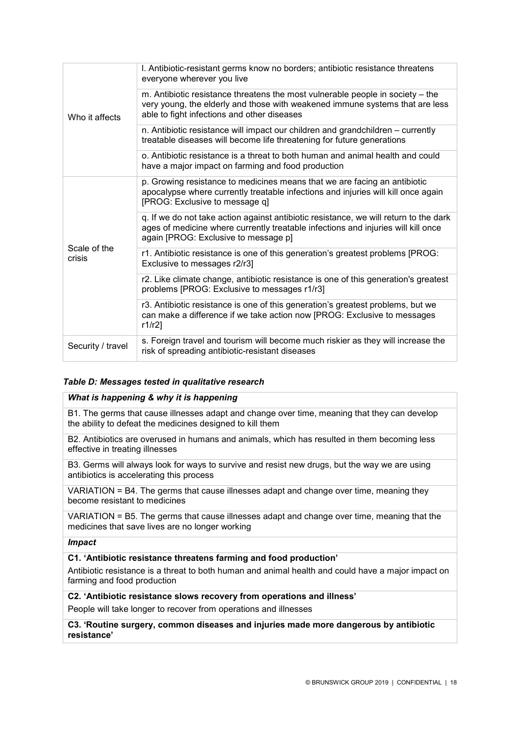| Who it affects         | I. Antibiotic-resistant germs know no borders; antibiotic resistance threatens<br>everyone wherever you live                                                                                                       |
|------------------------|--------------------------------------------------------------------------------------------------------------------------------------------------------------------------------------------------------------------|
|                        | m. Antibiotic resistance threatens the most vulnerable people in society - the<br>very young, the elderly and those with weakened immune systems that are less<br>able to fight infections and other diseases      |
|                        | n. Antibiotic resistance will impact our children and grandchildren – currently<br>treatable diseases will become life threatening for future generations                                                          |
|                        | o. Antibiotic resistance is a threat to both human and animal health and could<br>have a major impact on farming and food production                                                                               |
| Scale of the<br>crisis | p. Growing resistance to medicines means that we are facing an antibiotic<br>apocalypse where currently treatable infections and injuries will kill once again<br>[PROG: Exclusive to message q]                   |
|                        | q. If we do not take action against antibiotic resistance, we will return to the dark<br>ages of medicine where currently treatable infections and injuries will kill once<br>again [PROG: Exclusive to message p] |
|                        | r1. Antibiotic resistance is one of this generation's greatest problems [PROG:<br>Exclusive to messages r2/r3]                                                                                                     |
|                        | r2. Like climate change, antibiotic resistance is one of this generation's greatest<br>problems [PROG: Exclusive to messages r1/r3]                                                                                |
|                        | r3. Antibiotic resistance is one of this generation's greatest problems, but we<br>can make a difference if we take action now [PROG: Exclusive to messages<br>$r1/r2$ ]                                           |
| Security / travel      | s. Foreign travel and tourism will become much riskier as they will increase the<br>risk of spreading antibiotic-resistant diseases                                                                                |

### *Table D: Messages tested in qualitative research*

### *What is happening & why it is happening*

B1. The germs that cause illnesses adapt and change over time, meaning that they can develop the ability to defeat the medicines designed to kill them

B2. Antibiotics are overused in humans and animals, which has resulted in them becoming less effective in treating illnesses

B3. Germs will always look for ways to survive and resist new drugs, but the way we are using antibiotics is accelerating this process

VARIATION = B4. The germs that cause illnesses adapt and change over time, meaning they become resistant to medicines

VARIATION = B5. The germs that cause illnesses adapt and change over time, meaning that the medicines that save lives are no longer working

### *Impact*

### **C1. 'Antibiotic resistance threatens farming and food production'**

Antibiotic resistance is a threat to both human and animal health and could have a major impact on farming and food production

**C2. 'Antibiotic resistance slows recovery from operations and illness'**

People will take longer to recover from operations and illnesses

**C3. 'Routine surgery, common diseases and injuries made more dangerous by antibiotic resistance'**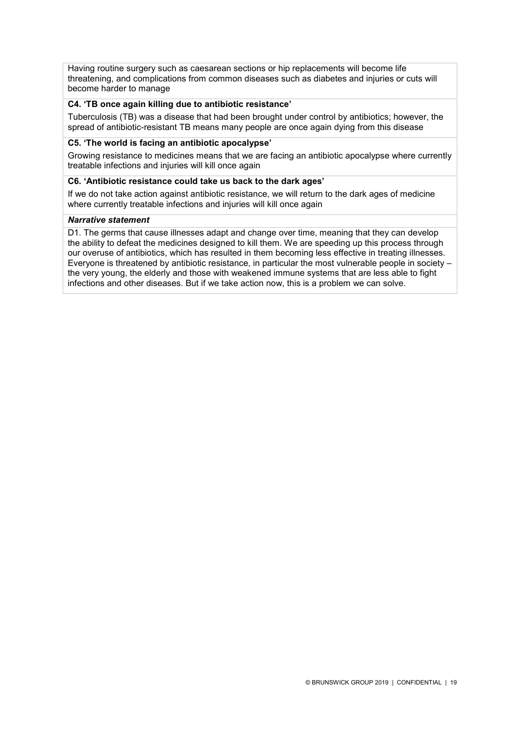Having routine surgery such as caesarean sections or hip replacements will become life threatening, and complications from common diseases such as diabetes and injuries or cuts will become harder to manage

### **C4. 'TB once again killing due to antibiotic resistance'**

Tuberculosis (TB) was a disease that had been brought under control by antibiotics; however, the spread of antibiotic-resistant TB means many people are once again dying from this disease

### **C5. 'The world is facing an antibiotic apocalypse'**

Growing resistance to medicines means that we are facing an antibiotic apocalypse where currently treatable infections and injuries will kill once again

### **C6. 'Antibiotic resistance could take us back to the dark ages'**

If we do not take action against antibiotic resistance, we will return to the dark ages of medicine where currently treatable infections and injuries will kill once again

### *Narrative statement*

D1. The germs that cause illnesses adapt and change over time, meaning that they can develop the ability to defeat the medicines designed to kill them. We are speeding up this process through our overuse of antibiotics, which has resulted in them becoming less effective in treating illnesses. Everyone is threatened by antibiotic resistance, in particular the most vulnerable people in society – the very young, the elderly and those with weakened immune systems that are less able to fight infections and other diseases. But if we take action now, this is a problem we can solve.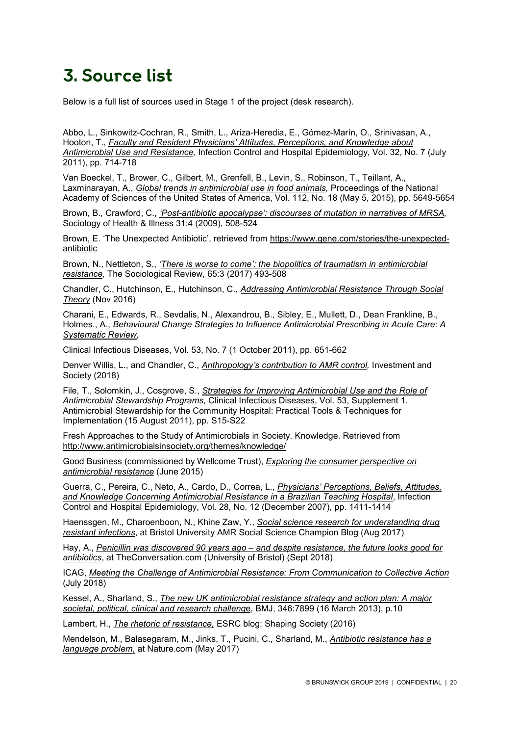# **3. Source list**

Below is a full list of sources used in Stage 1 of the project (desk research).

Abbo, L., Sinkowitz-Cochran, R., Smith, L., Ariza-Heredia, E., Gómez-Marín, O., Srinivasan, A., Hooton, T., *[Faculty and Resident Physicians' Attitudes, Perceptions, and Knowledge about](https://www.researchgate.net/publication/51212778_Faculty_and_Resident_Physicians)  [Antimicrobial Use and Resistance,](https://www.researchgate.net/publication/51212778_Faculty_and_Resident_Physicians)* Infection Control and Hospital Epidemiology, Vol. 32, No. 7 (July 2011), pp. 714-718

Van Boeckel, T., Brower, C., Gilbert, M., Grenfell, B., Levin, S., Robinson, T., Teillant, A., Laxminarayan, A., *[Global trends in antimicrobial use in food animals,](http://www.pnas.org/content/pnas/112/18/5649.full.pdf)* Proceedings of the National Academy of Sciences of the United States of America, Vol. 112, No. 18 (May 5, 2015), pp. 5649-5654

Brown, B., Crawford, C., *['Post-antibiotic apocalypse': discourses of mutation in narratives of](https://onlinelibrary.wiley.com/doi/epdf/10.1111/j.1467-9566.2008.01147.x) MRSA,* Sociology of Health & Illness 31:4 (2009), 508-524

Brown, E. 'The Unexpected Antibiotic', retrieved from [https://www.gene.com/stories/the-unexpected](https://www.gene.com/stories/the-unexpected-antibiotic)[antibiotic](https://www.gene.com/stories/the-unexpected-antibiotic)

Brown, N., Nettleton, S., *['There is worse to come': the biopolitics of traumatism in antimicrobial](http://www.antimicrobialsinsociety.org/essential-reading/brown_and_nettleton/)  [resistance,](http://www.antimicrobialsinsociety.org/essential-reading/brown_and_nettleton/)* The Sociological Review, 65:3 (2017) 493-508

Chandler, C., Hutchinson, E., Hutchinson, C., *[Addressing Antimicrobial Resistance Through Social](http://researchonline.lshtm.ac.uk/3400500/1/Addressing%20Antimicrobial%20Resistance%20Through%20Social%20Theory%20GOLD%20VoR.pdf)  [Theory](http://researchonline.lshtm.ac.uk/3400500/1/Addressing%20Antimicrobial%20Resistance%20Through%20Social%20Theory%20GOLD%20VoR.pdf)* (Nov 2016)

Charani, E., Edwards, R., Sevdalis, N., Alexandrou, B., Sibley, E., Mullett, D., Dean Frankline, B., Holmes., A., *[Behavioural Change Strategies to Influence Antimicrobial Prescribing in Acute Care: A](https://academic.oup.com/cid/article/53/7/651/419517)  [Systematic Review,](https://academic.oup.com/cid/article/53/7/651/419517)* 

Clinical Infectious Diseases, Vol. 53, No. 7 (1 October 2011), pp. 651-662

Denver Willis, L., and Chandler, C., *[Anthropology's contribution to AMR control,](http://resistancecontrol.info/wp-content/uploads/2018/05/104-08-chandler.pdf)* Investment and Society (2018)

File, T., Solomkin, J., Cosgrove, S., *[Strategies for Improving Antimicrobial Use and the Role of](https://academic.oup.com/cid/article/53/suppl_1/S15/426818)  [Antimicrobial Stewardship Programs,](https://academic.oup.com/cid/article/53/suppl_1/S15/426818)* Clinical Infectious Diseases, Vol. 53, Supplement 1. Antimicrobial Stewardship for the Community Hospital: Practical Tools & Techniques for Implementation (15 August 2011), pp. S15-S22

Fresh Approaches to the Study of Antimicrobials in Society. Knowledge. Retrieved from <http://www.antimicrobialsinsociety.org/themes/knowledge/>

Good Business (commissioned by Wellcome Trust), *[Exploring the consumer perspective on](https://wellcome.ac.uk/sites/default/files/exploring-consumer-perspective-on-antimicrobial-resistance-jun15.pdf)  [antimicrobial resistance](https://wellcome.ac.uk/sites/default/files/exploring-consumer-perspective-on-antimicrobial-resistance-jun15.pdf)* (June 2015)

Guerra, C., Pereira, C., Neto, A., Cardo, D., Correa, L., *[Physicians' Perceptions, Beliefs, Attitudes,](https://www.researchgate.net/publication/5851396_Physicians)  [and Knowledge Concerning Antimicrobial Resistance in a Brazilian Teaching Hospital](https://www.researchgate.net/publication/5851396_Physicians)*, Infection Control and Hospital Epidemiology, Vol. 28, No. 12 (December 2007), pp. 1411-1414

Haenssgen, M., Charoenboon, N., Khine Zaw, Y., *[Social science research for understanding drug](https://amrchamp.blogs.bristol.ac.uk/2017/08/12/standardisation-curing-or-obscuring-amrs-language-problem/)  [resistant infections](https://amrchamp.blogs.bristol.ac.uk/2017/08/12/standardisation-curing-or-obscuring-amrs-language-problem/)*, at Bristol University AMR Social Science Champion Blog (Aug 2017)

Hay, A., *Penicillin was discovered 90 years ago – [and despite resistance, the future looks good for](https://theconversation.com/penicillin-was-discovered-90-years-ago-and-despite-resistance-the-future-looks-good-for-antibiotics-100684)  [antibiotics](https://theconversation.com/penicillin-was-discovered-90-years-ago-and-despite-resistance-the-future-looks-good-for-antibiotics-100684)*, at TheConversation.com (University of Bristol) (Sept 2018)

ICAG, *[Meeting the Challenge of Antimicrobial Resistance: From Communication to Collective Action](http://www.who.int/antimicrobial-resistance/interagency-coordination-group/IACG_Meeting_challenge_AMR_communication_to_collective_action_270718.pdf?ua=1)* (July 2018)

Kessel, A., Sharland, S., *[The new UK antimicrobial resistance strategy and action plan: A major](https://www.bmj.com/content/346/bmj.f1601)  [societal, political, clinical and research challeng](https://www.bmj.com/content/346/bmj.f1601)*[e,](https://www.bmj.com/content/346/bmj.f1601) BMJ, 346:7899 (16 March 2013), p.10

Lambert, H., *[The rhetoric of resistance,](https://blog.esrc.ac.uk/2016/09/21/the-rhetoric-of-resistance/)* ESRC blog: Shaping Society (2016)

Mendelson, M., Balasegaram, M., Jinks, T., Pucini, C., Sharland, M., *[Antibiotic resistance has a](https://www.nature.com/news/antibiotic-resistance-has-a-language-problem-1.21915)  [language problem](https://www.nature.com/news/antibiotic-resistance-has-a-language-problem-1.21915)*[,](https://www.nature.com/news/antibiotic-resistance-has-a-language-problem-1.21915) at Nature.com (May 2017)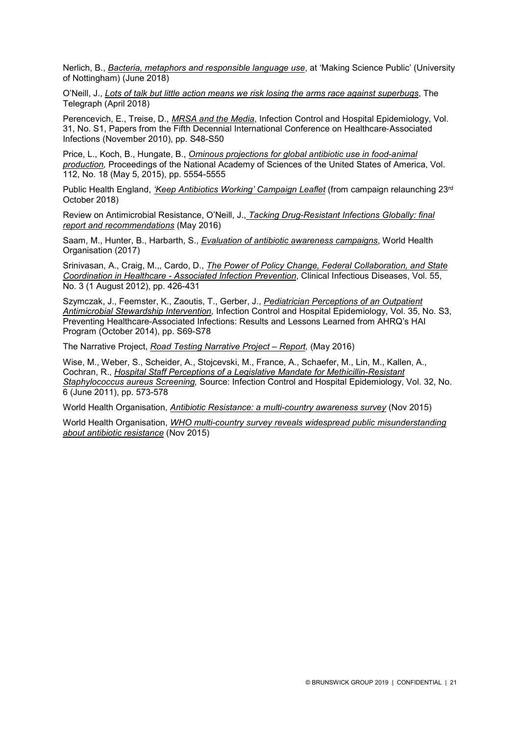Nerlich, B., *[Bacteria, metaphors and responsible language use](https://brunswickgroupllp-my.sharepoint.com/personal/achilcott_brunswickgroup_com/Documents/Documents/Alice-compiled%20links/blogs.nottingham.ac.uk/makingsciencepublic/2018/06/01/bacteria-metaphors-responsible-language-use/)*, at 'Making Science Public' (University of Nottingham) (June 2018)

O'Neill, J., *[Lots of talk but little action means we risk losing the arms race against superbugs](https://www.telegraph.co.uk/news/2018/04/26/lots-talk-little-action-means-risk-losing-arms-race-against/)*, The Telegraph (April 2018)

Perencevich, E., Treise, D., *[MRSA and the Media](https://www.cambridge.org/core/journals/infection-control-and-hospital-epidemiology/article/methicillinresistant-staphylococcus-aureus-and-the-media/EFB73A4CDDB750EC93F99F78A300DF89)*, Infection Control and Hospital Epidemiology, Vol. 31, No. S1, Papers from the Fifth Decennial International Conference on Healthcare‐Associated Infections (November 2010), pp. S48-S50

Price, L., Koch, B., Hungate, B., *[Ominous projections for global antibiotic use in food-animal](http://www.pnas.org/content/112/18/5554)  [production,](http://www.pnas.org/content/112/18/5554)* Proceedings of the National Academy of Sciences of the United States of America, Vol. 112, No. 18 (May 5, 2015), pp. 5554-5555

Public Health England, *['Keep Antibiotics Working' Campaign Leaflet](https://campaignresources.phe.gov.uk/resources/campaigns/58-keep-antibiotics-working/Overview)* (from campaign relaunching 23rd October 2018)

Review on Antimicrobial Resistance, O'Neill, J., *[Tacking Drug-Resistant Infections Globally: final](https://www.telegraph.co.uk/news/2018/04/26/lots-talk-little-action-means-risk-losing-arms-race-against/)  [report and recommendations](https://www.telegraph.co.uk/news/2018/04/26/lots-talk-little-action-means-risk-losing-arms-race-against/)* (May 2016)

Saam, M., Hunter, B., Harbarth, S., *[Evaluation of antibiotic awareness campaigns](http://www.who.int/selection_medicines/committees/expert/21/applications/s6_antibiotic_awareness_campaigns.pdf)*, World Health Organisation (2017)

Srinivasan, A., Craig, M.,, Cardo, D., *[The Power of Policy Change, Federal Collaboration, and State](https://academic.oup.com/cid/article/55/3/426/612925)  Coordination in Healthcare - [Associated Infection Prevention](https://academic.oup.com/cid/article/55/3/426/612925)*, Clinical Infectious Diseases, Vol. 55, No. 3 (1 August 2012), pp. 426-431

Szymczak, J., Feemster, K., Zaoutis, T., Gerber, J., *[Pediatrician](https://www.jstor.org/stable/10.1086/677826) [Perceptions of an Outpatient](https://www.jstor.org/stable/10.1086/677826)  [Antimicrobial Stewardship Intervention,](https://www.jstor.org/stable/10.1086/677826)* Infection Control and Hospital Epidemiology, Vol. 35, No. S3, Preventing Healthcare-Associated Infections: Results and Lessons Learned from AHRQ's HAI Program (October 2014), pp. S69-S78

The Narrative Project, *[Road Testing Narrative Project –](https://static1.squarespace.com/static/56b4f3fb62cd948c6b994bd2/t/577d22b9d1758e79c8b1712f/1467818683314/New+Venture+Fund+-+Full+Evaluation+Report.pdf) Report,* (May 2016)

Wise, M., Weber, S., Scheider, A., Stojcevski, M., France, A., Schaefer, M., Lin, M., Kallen, A., Cochran, R., *[Hospital Staff Perceptions of a Legislative Mandate for Methicillin-Resistant](https://brunswickgroupllp-my.sharepoint.com/personal/achilcott_brunswickgroup_com/Documents/Documents/Alice-compiled%20links/Hospital%20Staff%20Perceptions%20of%20a%20Legislative%20Mandate%20for%20Methicillin-Resistant%20Staphylococcus%20aureus%20Screening)  [Staphylococcus aureus Screening,](https://brunswickgroupllp-my.sharepoint.com/personal/achilcott_brunswickgroup_com/Documents/Documents/Alice-compiled%20links/Hospital%20Staff%20Perceptions%20of%20a%20Legislative%20Mandate%20for%20Methicillin-Resistant%20Staphylococcus%20aureus%20Screening)* Source: Infection Control and Hospital Epidemiology, Vol. 32, No. 6 (June 2011), pp. 573-578

World Health Organisation, *[Antibiotic Resistance: a multi-country awareness survey](http://apps.who.int/iris/bitstream/handle/10665/194460/9789241509817_eng.pdf;jsessionid=4CCA10B0694C5F9898005F30F5453862?sequence=1)* (Nov 2015)

World Health Organisation, *[WHO multi-country survey reveals widespread public misunderstanding](http://www.who.int/en/news-room/detail/16-11-2015-who-multi-country-survey-reveals-widespread-public-misunderstanding-about-antibiotic-resistance)  [about antibiotic resistance](http://www.who.int/en/news-room/detail/16-11-2015-who-multi-country-survey-reveals-widespread-public-misunderstanding-about-antibiotic-resistance)* (Nov 2015)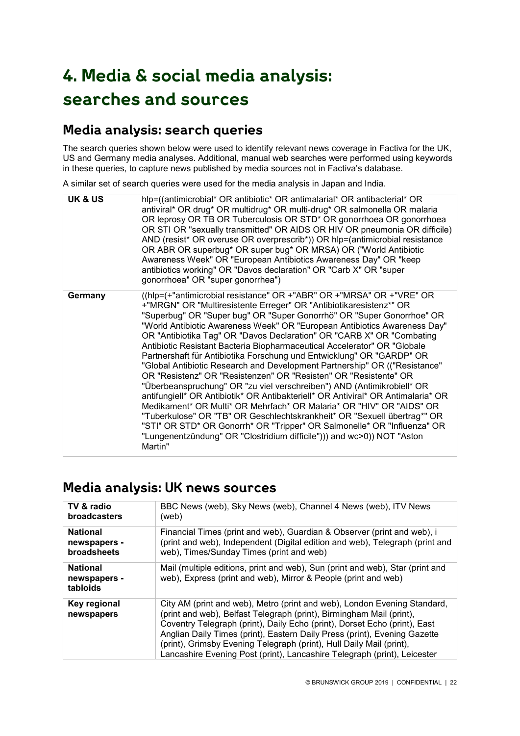# **4. Media & social media analysis: searches and sources**

### **Media analysis: search queries**

The search queries shown below were used to identify relevant news coverage in Factiva for the UK, US and Germany media analyses. Additional, manual web searches were performed using keywords in these queries, to capture news published by media sources not in Factiva's database.

A similar set of search queries were used for the media analysis in Japan and India.

| <b>UK &amp; US</b> | hlp=((antimicrobial* OR antibiotic* OR antimalarial* OR antibacterial* OR<br>antiviral* OR drug* OR multidrug* OR multi-drug* OR salmonella OR malaria<br>OR leprosy OR TB OR Tuberculosis OR STD* OR gonorrhoea OR gonorrhoea<br>OR STI OR "sexually transmitted" OR AIDS OR HIV OR pneumonia OR difficile)<br>AND (resist* OR overuse OR overprescrib*)) OR hlp=(antimicrobial resistance<br>OR ABR OR superbug* OR super bug* OR MRSA) OR ("World Antibiotic<br>Awareness Week" OR "European Antibiotics Awareness Day" OR "keep<br>antibiotics working" OR "Davos declaration" OR "Carb X" OR "super<br>gonorrhoea" OR "super gonorrhea")                                                                                                                                                                                                                                                                                                                                                                                                                                                                                                                      |
|--------------------|--------------------------------------------------------------------------------------------------------------------------------------------------------------------------------------------------------------------------------------------------------------------------------------------------------------------------------------------------------------------------------------------------------------------------------------------------------------------------------------------------------------------------------------------------------------------------------------------------------------------------------------------------------------------------------------------------------------------------------------------------------------------------------------------------------------------------------------------------------------------------------------------------------------------------------------------------------------------------------------------------------------------------------------------------------------------------------------------------------------------------------------------------------------------|
| Germany            | ((hlp=(+"antimicrobial resistance" OR +"ABR" OR +"MRSA" OR +"VRE" OR<br>+"MRGN" OR "Multiresistente Erreger" OR "Antibiotikaresistenz*" OR<br>"Superbug" OR "Super bug" OR "Super Gonorrhö" OR "Super Gonorrhoe" OR<br>"World Antibiotic Awareness Week" OR "European Antibiotics Awareness Day"<br>OR "Antibiotika Tag" OR "Davos Declaration" OR "CARB X" OR "Combating<br>Antibiotic Resistant Bacteria Biopharmaceutical Accelerator" OR "Globale<br>Partnershaft für Antibiotika Forschung und Entwicklung" OR "GARDP" OR<br>"Global Antibiotic Research and Development Partnership" OR (("Resistance"<br>OR "Resistenz" OR "Resistenzen" OR "Resisten" OR "Resistente" OR<br>"Überbeanspruchung" OR "zu viel verschreiben") AND (Antimikrobiell* OR<br>antifungiell* OR Antibiotik* OR Antibakteriell* OR Antiviral* OR Antimalaria* OR<br>Medikament* OR Multi* OR Mehrfach* OR Malaria* OR "HIV" OR "AIDS" OR<br>"Tuberkulose" OR "TB" OR Geschlechtskrankheit* OR "Sexuell übertrag*" OR<br>"STI" OR STD* OR Gonorrh* OR "Tripper" OR Salmonelle* OR "Influenza" OR<br>"Lungenentzündung" OR "Clostridium difficile"))) and wc>0)) NOT "Aston<br>Martin" |

### **Media analysis: UK news sources**

| TV & radio                                  | BBC News (web), Sky News (web), Channel 4 News (web), ITV News                                                                                                                                                                                                                                                                                                                                                                                                 |
|---------------------------------------------|----------------------------------------------------------------------------------------------------------------------------------------------------------------------------------------------------------------------------------------------------------------------------------------------------------------------------------------------------------------------------------------------------------------------------------------------------------------|
| <b>broadcasters</b>                         | (web)                                                                                                                                                                                                                                                                                                                                                                                                                                                          |
| <b>National</b>                             | Financial Times (print and web), Guardian & Observer (print and web), i                                                                                                                                                                                                                                                                                                                                                                                        |
| newspapers -                                | (print and web), Independent (Digital edition and web), Telegraph (print and                                                                                                                                                                                                                                                                                                                                                                                   |
| broadsheets                                 | web), Times/Sunday Times (print and web)                                                                                                                                                                                                                                                                                                                                                                                                                       |
| <b>National</b><br>newspapers -<br>tabloids | Mail (multiple editions, print and web), Sun (print and web), Star (print and<br>web), Express (print and web), Mirror & People (print and web)                                                                                                                                                                                                                                                                                                                |
| Key regional<br>newspapers                  | City AM (print and web), Metro (print and web), London Evening Standard,<br>(print and web), Belfast Telegraph (print), Birmingham Mail (print),<br>Coventry Telegraph (print), Daily Echo (print), Dorset Echo (print), East<br>Anglian Daily Times (print), Eastern Daily Press (print), Evening Gazette<br>(print), Grimsby Evening Telegraph (print), Hull Daily Mail (print),<br>Lancashire Evening Post (print), Lancashire Telegraph (print), Leicester |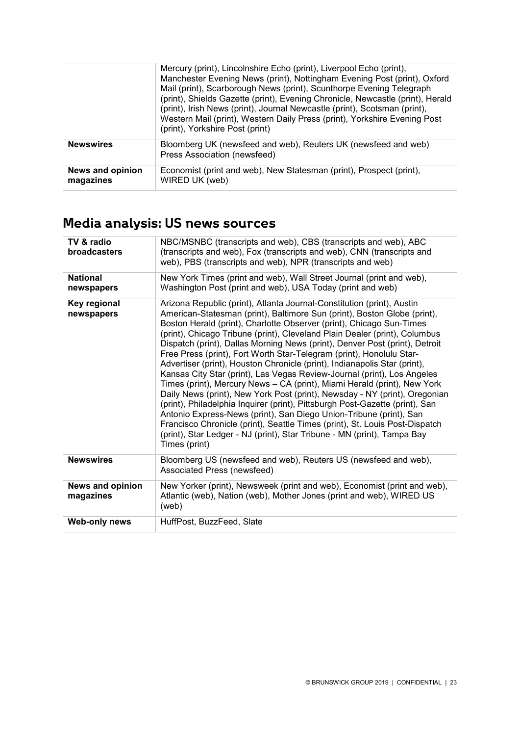|                                      | Mercury (print), Lincolnshire Echo (print), Liverpool Echo (print),<br>Manchester Evening News (print), Nottingham Evening Post (print), Oxford<br>Mail (print), Scarborough News (print), Scunthorpe Evening Telegraph<br>(print), Shields Gazette (print), Evening Chronicle, Newcastle (print), Herald<br>(print), Irish News (print), Journal Newcastle (print), Scotsman (print),<br>Western Mail (print), Western Daily Press (print), Yorkshire Evening Post<br>(print), Yorkshire Post (print) |
|--------------------------------------|--------------------------------------------------------------------------------------------------------------------------------------------------------------------------------------------------------------------------------------------------------------------------------------------------------------------------------------------------------------------------------------------------------------------------------------------------------------------------------------------------------|
| <b>Newswires</b>                     | Bloomberg UK (newsfeed and web), Reuters UK (newsfeed and web)<br>Press Association (newsfeed)                                                                                                                                                                                                                                                                                                                                                                                                         |
| <b>News and opinion</b><br>magazines | Economist (print and web), New Statesman (print), Prospect (print),<br>WIRED UK (web)                                                                                                                                                                                                                                                                                                                                                                                                                  |

# **Media analysis: US news sources**

| TV & radio<br>broadcasters           | NBC/MSNBC (transcripts and web), CBS (transcripts and web), ABC<br>(transcripts and web), Fox (transcripts and web), CNN (transcripts and<br>web), PBS (transcripts and web), NPR (transcripts and web)                                                                                                                                                                                                                                                                                                                                                                                                                                                                                                                                                                                                                                                                                                                                                                                                                                                                                                            |  |
|--------------------------------------|--------------------------------------------------------------------------------------------------------------------------------------------------------------------------------------------------------------------------------------------------------------------------------------------------------------------------------------------------------------------------------------------------------------------------------------------------------------------------------------------------------------------------------------------------------------------------------------------------------------------------------------------------------------------------------------------------------------------------------------------------------------------------------------------------------------------------------------------------------------------------------------------------------------------------------------------------------------------------------------------------------------------------------------------------------------------------------------------------------------------|--|
| <b>National</b><br>newspapers        | New York Times (print and web), Wall Street Journal (print and web),<br>Washington Post (print and web), USA Today (print and web)                                                                                                                                                                                                                                                                                                                                                                                                                                                                                                                                                                                                                                                                                                                                                                                                                                                                                                                                                                                 |  |
| Key regional<br>newspapers           | Arizona Republic (print), Atlanta Journal-Constitution (print), Austin<br>American-Statesman (print), Baltimore Sun (print), Boston Globe (print),<br>Boston Herald (print), Charlotte Observer (print), Chicago Sun-Times<br>(print), Chicago Tribune (print), Cleveland Plain Dealer (print), Columbus<br>Dispatch (print), Dallas Morning News (print), Denver Post (print), Detroit<br>Free Press (print), Fort Worth Star-Telegram (print), Honolulu Star-<br>Advertiser (print), Houston Chronicle (print), Indianapolis Star (print),<br>Kansas City Star (print), Las Vegas Review-Journal (print), Los Angeles<br>Times (print), Mercury News - CA (print), Miami Herald (print), New York<br>Daily News (print), New York Post (print), Newsday - NY (print), Oregonian<br>(print), Philadelphia Inquirer (print), Pittsburgh Post-Gazette (print), San<br>Antonio Express-News (print), San Diego Union-Tribune (print), San<br>Francisco Chronicle (print), Seattle Times (print), St. Louis Post-Dispatch<br>(print), Star Ledger - NJ (print), Star Tribune - MN (print), Tampa Bay<br>Times (print) |  |
| <b>Newswires</b>                     | Bloomberg US (newsfeed and web), Reuters US (newsfeed and web),<br>Associated Press (newsfeed)                                                                                                                                                                                                                                                                                                                                                                                                                                                                                                                                                                                                                                                                                                                                                                                                                                                                                                                                                                                                                     |  |
| <b>News and opinion</b><br>magazines | New Yorker (print), Newsweek (print and web), Economist (print and web),<br>Atlantic (web), Nation (web), Mother Jones (print and web), WIRED US<br>(web)                                                                                                                                                                                                                                                                                                                                                                                                                                                                                                                                                                                                                                                                                                                                                                                                                                                                                                                                                          |  |
| Web-only news                        | HuffPost, BuzzFeed, Slate                                                                                                                                                                                                                                                                                                                                                                                                                                                                                                                                                                                                                                                                                                                                                                                                                                                                                                                                                                                                                                                                                          |  |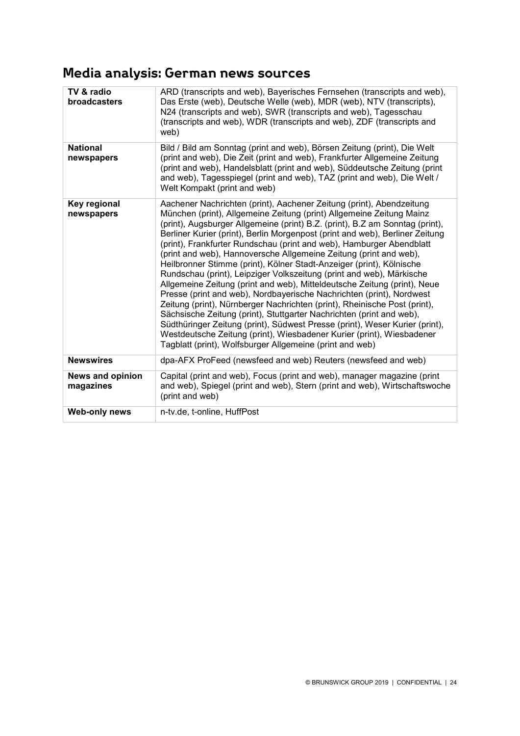# **Media analysis: German news sources**

| TV & radio<br>broadcasters           | ARD (transcripts and web), Bayerisches Fernsehen (transcripts and web),<br>Das Erste (web), Deutsche Welle (web), MDR (web), NTV (transcripts),<br>N24 (transcripts and web), SWR (transcripts and web), Tagesschau<br>(transcripts and web), WDR (transcripts and web), ZDF (transcripts and<br>web)                                                                                                                                                                                                                                                                                                                                                                                                                                                                                                                                                                                                                                                                                                                                                                                                                                  |  |
|--------------------------------------|----------------------------------------------------------------------------------------------------------------------------------------------------------------------------------------------------------------------------------------------------------------------------------------------------------------------------------------------------------------------------------------------------------------------------------------------------------------------------------------------------------------------------------------------------------------------------------------------------------------------------------------------------------------------------------------------------------------------------------------------------------------------------------------------------------------------------------------------------------------------------------------------------------------------------------------------------------------------------------------------------------------------------------------------------------------------------------------------------------------------------------------|--|
| <b>National</b><br>newspapers        | Bild / Bild am Sonntag (print and web), Börsen Zeitung (print), Die Welt<br>(print and web), Die Zeit (print and web), Frankfurter Allgemeine Zeitung<br>(print and web), Handelsblatt (print and web), Süddeutsche Zeitung (print<br>and web), Tagesspiegel (print and web), TAZ (print and web), Die Welt /<br>Welt Kompakt (print and web)                                                                                                                                                                                                                                                                                                                                                                                                                                                                                                                                                                                                                                                                                                                                                                                          |  |
| Key regional<br>newspapers           | Aachener Nachrichten (print), Aachener Zeitung (print), Abendzeitung<br>München (print), Allgemeine Zeitung (print) Allgemeine Zeitung Mainz<br>(print), Augsburger Allgemeine (print) B.Z. (print), B.Z am Sonntag (print),<br>Berliner Kurier (print), Berlin Morgenpost (print and web), Berliner Zeitung<br>(print), Frankfurter Rundschau (print and web), Hamburger Abendblatt<br>(print and web), Hannoversche Allgemeine Zeitung (print and web),<br>Heilbronner Stimme (print), Kölner Stadt-Anzeiger (print), Kölnische<br>Rundschau (print), Leipziger Volkszeitung (print and web), Märkische<br>Allgemeine Zeitung (print and web), Mitteldeutsche Zeitung (print), Neue<br>Presse (print and web), Nordbayerische Nachrichten (print), Nordwest<br>Zeitung (print), Nürnberger Nachrichten (print), Rheinische Post (print),<br>Sächsische Zeitung (print), Stuttgarter Nachrichten (print and web),<br>Südthüringer Zeitung (print), Südwest Presse (print), Weser Kurier (print),<br>Westdeutsche Zeitung (print), Wiesbadener Kurier (print), Wiesbadener<br>Tagblatt (print), Wolfsburger Allgemeine (print and web) |  |
| <b>Newswires</b>                     | dpa-AFX ProFeed (newsfeed and web) Reuters (newsfeed and web)                                                                                                                                                                                                                                                                                                                                                                                                                                                                                                                                                                                                                                                                                                                                                                                                                                                                                                                                                                                                                                                                          |  |
| <b>News and opinion</b><br>magazines | Capital (print and web), Focus (print and web), manager magazine (print<br>and web), Spiegel (print and web), Stern (print and web), Wirtschaftswoche<br>(print and web)                                                                                                                                                                                                                                                                                                                                                                                                                                                                                                                                                                                                                                                                                                                                                                                                                                                                                                                                                               |  |
| <b>Web-only news</b>                 | n-tv.de, t-online, HuffPost                                                                                                                                                                                                                                                                                                                                                                                                                                                                                                                                                                                                                                                                                                                                                                                                                                                                                                                                                                                                                                                                                                            |  |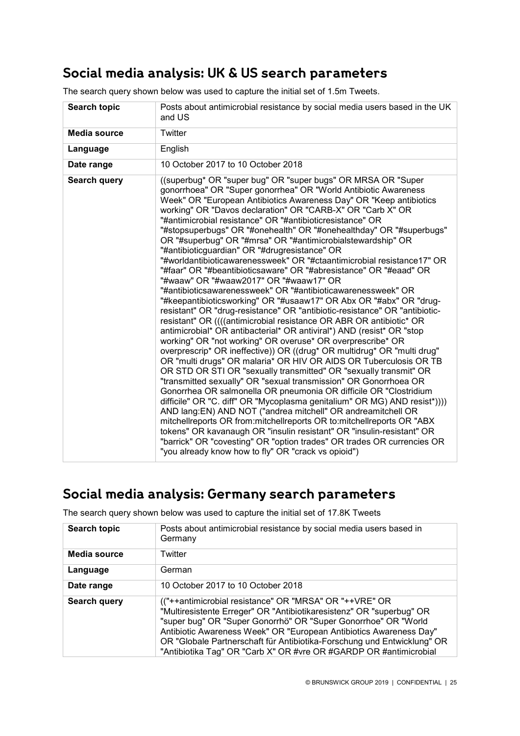# **Social media analysis: UK & US search parameters**

| <b>Search topic</b> | Posts about antimicrobial resistance by social media users based in the UK<br>and US                                                                                                                                                                                                                                                                                                                                                                                                                                                                                                                                                                                                                                                                                                                                                                                                                                                                                                                                                                                                                                                                                                                                                                                                                                                                                                                                                                                                                                                                                                                                                                                                                                                                                                                                                                                                                                                              |  |
|---------------------|---------------------------------------------------------------------------------------------------------------------------------------------------------------------------------------------------------------------------------------------------------------------------------------------------------------------------------------------------------------------------------------------------------------------------------------------------------------------------------------------------------------------------------------------------------------------------------------------------------------------------------------------------------------------------------------------------------------------------------------------------------------------------------------------------------------------------------------------------------------------------------------------------------------------------------------------------------------------------------------------------------------------------------------------------------------------------------------------------------------------------------------------------------------------------------------------------------------------------------------------------------------------------------------------------------------------------------------------------------------------------------------------------------------------------------------------------------------------------------------------------------------------------------------------------------------------------------------------------------------------------------------------------------------------------------------------------------------------------------------------------------------------------------------------------------------------------------------------------------------------------------------------------------------------------------------------------|--|
| <b>Media source</b> | Twitter                                                                                                                                                                                                                                                                                                                                                                                                                                                                                                                                                                                                                                                                                                                                                                                                                                                                                                                                                                                                                                                                                                                                                                                                                                                                                                                                                                                                                                                                                                                                                                                                                                                                                                                                                                                                                                                                                                                                           |  |
| Language            | English                                                                                                                                                                                                                                                                                                                                                                                                                                                                                                                                                                                                                                                                                                                                                                                                                                                                                                                                                                                                                                                                                                                                                                                                                                                                                                                                                                                                                                                                                                                                                                                                                                                                                                                                                                                                                                                                                                                                           |  |
| Date range          | 10 October 2017 to 10 October 2018                                                                                                                                                                                                                                                                                                                                                                                                                                                                                                                                                                                                                                                                                                                                                                                                                                                                                                                                                                                                                                                                                                                                                                                                                                                                                                                                                                                                                                                                                                                                                                                                                                                                                                                                                                                                                                                                                                                |  |
| Search query        | ((superbug* OR "super bug" OR "super bugs" OR MRSA OR "Super<br>gonorrhoea" OR "Super gonorrhea" OR "World Antibiotic Awareness<br>Week" OR "European Antibiotics Awareness Day" OR "Keep antibiotics<br>working" OR "Davos declaration" OR "CARB-X" OR "Carb X" OR<br>"#antimicrobial resistance" OR "#antibioticresistance" OR<br>"#stopsuperbugs" OR "#onehealth" OR "#onehealthday" OR "#superbugs"<br>OR "#superbug" OR "#mrsa" OR "#antimicrobialstewardship" OR<br>"#antibioticguardian" OR "#drugresistance" OR<br>"#worldantibioticawarenessweek" OR "#ctaantimicrobial resistance17" OR<br>"#faar" OR "#beantibioticsaware" OR "#abresistance" OR "#eaad" OR<br>"#waaw" OR "#waaw2017" OR "#waaw17" OR<br>"#antibioticsawarenessweek" OR "#antibioticawarenessweek" OR<br>"#keepantibioticsworking" OR "#usaaw17" OR Abx OR "#abx" OR "drug-<br>resistant" OR "drug-resistance" OR "antibiotic-resistance" OR "antibiotic-<br>resistant" OR ((((antimicrobial resistance OR ABR OR antibiotic* OR<br>antimicrobial* OR antibacterial* OR antiviral*) AND (resist* OR "stop<br>working" OR "not working" OR overuse* OR overprescribe* OR<br>overprescrip* OR ineffective)) OR ((drug* OR multidrug* OR "multi drug"<br>OR "multi drugs" OR malaria* OR HIV OR AIDS OR Tuberculosis OR TB<br>OR STD OR STI OR "sexually transmitted" OR "sexually transmit" OR<br>"transmitted sexually" OR "sexual transmission" OR Gonorrhoea OR<br>Gonorrhea OR salmonella OR pneumonia OR difficile OR "Clostridium<br>difficile" OR "C. diff" OR "Mycoplasma genitalium" OR MG) AND resist*))))<br>AND lang: EN) AND NOT ("andrea mitchell" OR andreamitchell OR<br>mitchellreports OR from:mitchellreports OR to:mitchellreports OR "ABX<br>tokens" OR kavanaugh OR "insulin resistant" OR "insulin-resistant" OR<br>"barrick" OR "covesting" OR "option trades" OR trades OR currencies OR<br>"you already know how to fly" OR "crack vs opioid") |  |

### **Social media analysis: Germany search parameters**

| Search topic | Posts about antimicrobial resistance by social media users based in<br>Germany                                                                                                                                                                                                                                                                                                                                         |  |
|--------------|------------------------------------------------------------------------------------------------------------------------------------------------------------------------------------------------------------------------------------------------------------------------------------------------------------------------------------------------------------------------------------------------------------------------|--|
| Media source | Twitter                                                                                                                                                                                                                                                                                                                                                                                                                |  |
| Language     | German                                                                                                                                                                                                                                                                                                                                                                                                                 |  |
| Date range   | 10 October 2017 to 10 October 2018                                                                                                                                                                                                                                                                                                                                                                                     |  |
| Search query | (("++antimicrobial resistance" OR "MRSA" OR "++VRE" OR<br>"Multiresistente Erreger" OR "Antibiotikaresistenz" OR "superbug" OR<br>"super bug" OR "Super Gonorrhö" OR "Super Gonorrhoe" OR "World<br>Antibiotic Awareness Week" OR "European Antibiotics Awareness Day"<br>OR "Globale Partnerschaft für Antibiotika-Forschung und Entwicklung" OR<br>"Antibiotika Tag" OR "Carb X" OR #vre OR #GARDP OR #antimicrobial |  |

The search query shown below was used to capture the initial set of 17.8K Tweets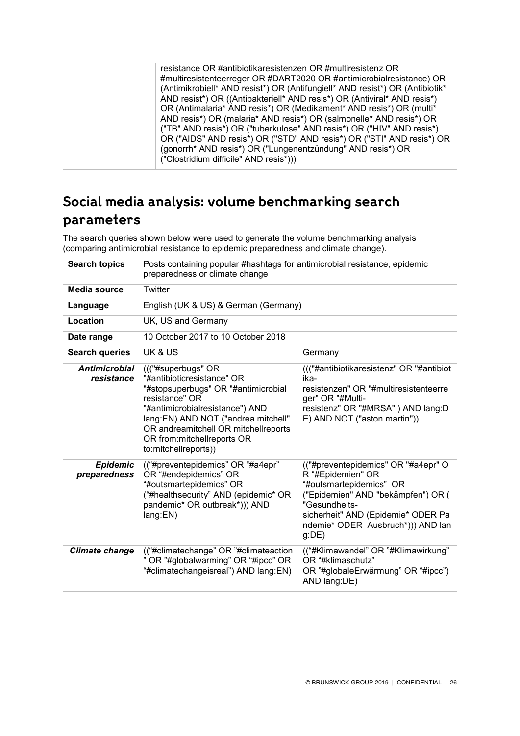| resistance OR #antibiotikaresistenzen OR #multiresistenz OR<br>#multiresistenteerreger OR #DART2020 OR #antimicrobialresistance) OR<br>(Antimikrobiell* AND resist*) OR (Antifungiell* AND resist*) OR (Antibiotik*<br>AND resist*) OR ((Antibakteriell* AND resis*) OR (Antiviral* AND resis*)<br>OR (Antimalaria* AND resis*) OR (Medikament* AND resis*) OR (multi*<br>AND resis*) OR (malaria* AND resis*) OR (salmonelle* AND resis*) OR<br>("TB" AND resis*) OR ("tuberkulose" AND resis*) OR ("HIV" AND resis*)<br>OR ("AIDS" AND resis*) OR ("STD" AND resis*) OR ("STI" AND resis*) OR |
|-------------------------------------------------------------------------------------------------------------------------------------------------------------------------------------------------------------------------------------------------------------------------------------------------------------------------------------------------------------------------------------------------------------------------------------------------------------------------------------------------------------------------------------------------------------------------------------------------|
| (gonorrh* AND resis*) OR ("Lungenentzündung" AND resis*) OR<br>("Clostridium difficile" AND resis*)))                                                                                                                                                                                                                                                                                                                                                                                                                                                                                           |
|                                                                                                                                                                                                                                                                                                                                                                                                                                                                                                                                                                                                 |

# **Social media analysis: volume benchmarking search parameters**

The search queries shown below were used to generate the volume benchmarking analysis (comparing antimicrobial resistance to epidemic preparedness and climate change).

| <b>Search topics</b>               | Posts containing popular #hashtags for antimicrobial resistance, epidemic<br>preparedness or climate change                                                                                                                                                                         |                                                                                                                                                                                                                                |  |
|------------------------------------|-------------------------------------------------------------------------------------------------------------------------------------------------------------------------------------------------------------------------------------------------------------------------------------|--------------------------------------------------------------------------------------------------------------------------------------------------------------------------------------------------------------------------------|--|
| <b>Media source</b>                | Twitter                                                                                                                                                                                                                                                                             |                                                                                                                                                                                                                                |  |
| Language                           | English (UK & US) & German (Germany)                                                                                                                                                                                                                                                |                                                                                                                                                                                                                                |  |
| <b>Location</b>                    | UK, US and Germany                                                                                                                                                                                                                                                                  |                                                                                                                                                                                                                                |  |
| Date range                         | 10 October 2017 to 10 October 2018                                                                                                                                                                                                                                                  |                                                                                                                                                                                                                                |  |
| <b>Search queries</b>              | UK & US                                                                                                                                                                                                                                                                             | Germany                                                                                                                                                                                                                        |  |
| <b>Antimicrobial</b><br>resistance | ((("#superbugs" OR<br>"#antibioticresistance" OR<br>"#stopsuperbugs" OR "#antimicrobial<br>resistance" OR<br>"#antimicrobialresistance") AND<br>lang:EN) AND NOT ("andrea mitchell"<br>OR andreamitchell OR mitchellreports<br>OR from: mitchell reports OR<br>to:mitchellreports)) | ((("#antibiotikaresistenz" OR "#antibiot<br>ika-<br>resistenzen" OR "#multiresistenteerre<br>ger" OR "#Multi-<br>resistenz" OR "#MRSA" ) AND lang:D<br>E) AND NOT ("aston martin"))                                            |  |
| <b>Epidemic</b><br>preparedness    | (("#preventepidemics" OR "#a4epr"<br>OR "#endepidemics" OR<br>"#outsmartepidemics" OR<br>("#healthsecurity" AND (epidemic* OR<br>pandemic* OR outbreak*))) AND<br>lang:EN)                                                                                                          | (("#preventepidemics" OR "#a4epr" O<br>R "#Epidemien" OR<br>"#outsmartepidemics" OR<br>("Epidemien" AND "bekämpfen") OR (<br>"Gesundheits-<br>sicherheit" AND (Epidemie* ODER Pa<br>ndemie* ODER Ausbruch*))) AND lan<br>g(DE) |  |
| <b>Climate change</b>              | (("#climatechange" OR "#climateaction<br>OR "#globalwarming" OR "#ipcc" OR<br>"#climatechangeisreal") AND lang:EN)                                                                                                                                                                  | (("#Klimawandel" OR "#Klimawirkung"<br>OR "#klimaschutz"<br>OR "#globaleErwärmung" OR "#ipcc")<br>AND lang:DE)                                                                                                                 |  |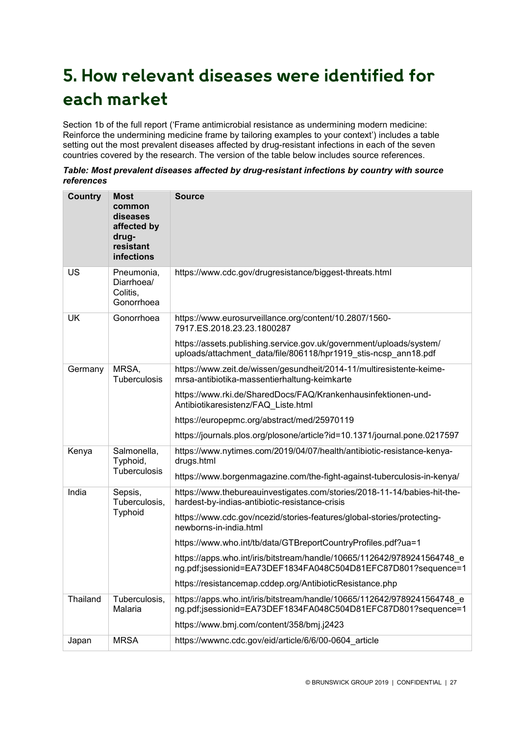# **5. How relevant diseases were identified for each market**

Section 1b of the full report ('Frame antimicrobial resistance as undermining modern medicine: Reinforce the undermining medicine frame by tailoring examples to your context') includes a table setting out the most prevalent diseases affected by drug-resistant infections in each of the seven countries covered by the research. The version of the table below includes source references.

| Table: Most prevalent diseases affected by drug-resistant infections by country with source |  |
|---------------------------------------------------------------------------------------------|--|
| references                                                                                  |  |

| <b>Country</b> | <b>Most</b><br>common<br>diseases<br>affected by<br>drug-<br>resistant<br>infections | <b>Source</b>                                                                                                                                                                                                                                                                                                                                                                                                                                                                                           |
|----------------|--------------------------------------------------------------------------------------|---------------------------------------------------------------------------------------------------------------------------------------------------------------------------------------------------------------------------------------------------------------------------------------------------------------------------------------------------------------------------------------------------------------------------------------------------------------------------------------------------------|
| US             | Pneumonia,<br>Diarrhoea/<br>Colitis,<br>Gonorrhoea                                   | https://www.cdc.gov/drugresistance/biggest-threats.html                                                                                                                                                                                                                                                                                                                                                                                                                                                 |
| UK             | Gonorrhoea                                                                           | https://www.eurosurveillance.org/content/10.2807/1560-<br>7917.ES.2018.23.23.1800287<br>https://assets.publishing.service.gov.uk/government/uploads/system/<br>uploads/attachment_data/file/806118/hpr1919_stis-ncsp_ann18.pdf                                                                                                                                                                                                                                                                          |
| Germany        | MRSA,<br>Tuberculosis                                                                | https://www.zeit.de/wissen/gesundheit/2014-11/multiresistente-keime-<br>mrsa-antibiotika-massentierhaltung-keimkarte<br>https://www.rki.de/SharedDocs/FAQ/Krankenhausinfektionen-und-<br>Antibiotikaresistenz/FAQ_Liste.html<br>https://europepmc.org/abstract/med/25970119<br>https://journals.plos.org/plosone/article?id=10.1371/journal.pone.0217597                                                                                                                                                |
| Kenya          | Salmonella,<br>Typhoid,<br>Tuberculosis                                              | https://www.nytimes.com/2019/04/07/health/antibiotic-resistance-kenya-<br>drugs.html<br>https://www.borgenmagazine.com/the-fight-against-tuberculosis-in-kenya/                                                                                                                                                                                                                                                                                                                                         |
| India          | Sepsis,<br>Tuberculosis,<br>Typhoid                                                  | https://www.thebureauinvestigates.com/stories/2018-11-14/babies-hit-the-<br>hardest-by-indias-antibiotic-resistance-crisis<br>https://www.cdc.gov/ncezid/stories-features/global-stories/protecting-<br>newborns-in-india.html<br>https://www.who.int/tb/data/GTBreportCountryProfiles.pdf?ua=1<br>https://apps.who.int/iris/bitstream/handle/10665/112642/9789241564748_e<br>ng.pdf;jsessionid=EA73DEF1834FA048C504D81EFC87D801?sequence=1<br>https://resistancemap.cddep.org/AntibioticResistance.php |
| Thailand       | Tuberculosis,<br>Malaria                                                             | https://apps.who.int/iris/bitstream/handle/10665/112642/9789241564748 e<br>ng.pdf;jsessionid=EA73DEF1834FA048C504D81EFC87D801?sequence=1<br>https://www.bmj.com/content/358/bmj.j2423                                                                                                                                                                                                                                                                                                                   |
| Japan          | <b>MRSA</b>                                                                          | https://wwwnc.cdc.gov/eid/article/6/6/00-0604_article                                                                                                                                                                                                                                                                                                                                                                                                                                                   |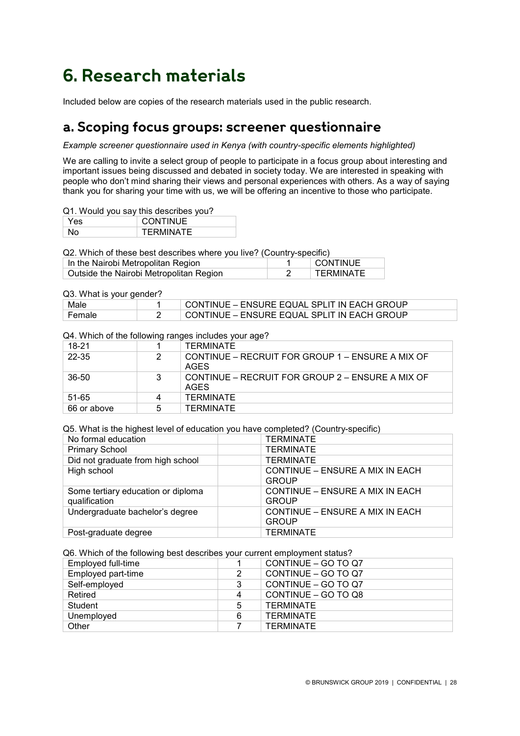# **6. Research materials**

Included below are copies of the research materials used in the public research.

### **a. Scoping focus groups: screener questionnaire**

*Example screener questionnaire used in Kenya (with country-specific elements highlighted)*

We are calling to invite a select group of people to participate in a focus group about interesting and important issues being discussed and debated in society today. We are interested in speaking with people who don't mind sharing their views and personal experiences with others. As a way of saying thank you for sharing your time with us, we will be offering an incentive to those who participate.

#### Q1. Would you say this describes you?

| Yes | <b>CONTINUE</b> |
|-----|-----------------|
|     | TERMINATE       |

Q2. Which of these best describes where you live? (Country-specific)

| In the Nairobi Metropolitan Region      | I CONTINUE       |
|-----------------------------------------|------------------|
| Outside the Nairobi Metropolitan Region | <b>TERMINATE</b> |

### Q3. What is your gender?

| Male   | CONTINUE – ENSURE EQUAL SPLIT IN EACH GROUP |
|--------|---------------------------------------------|
| Female | CONTINUE – ENSURE EQUAL SPLIT IN EACH GROUP |

#### Q4. Which of the following ranges includes your age?

| 18-21       |   | TERMINATE                                                |
|-------------|---|----------------------------------------------------------|
| 22-35       | 2 | CONTINUE – RECRUIT FOR GROUP 1 – ENSURE A MIX OF<br>AGES |
| 36-50       | 3 | CONTINUE – RECRUIT FOR GROUP 2 – ENSURE A MIX OF<br>AGES |
| 51-65       | 4 | <b>TERMINATE</b>                                         |
| 66 or above | 5 | TFRMINATF                                                |

Q5. What is the highest level of education you have completed? (Country-specific)

| No formal education                                 | <b>TERMINATE</b>                                |
|-----------------------------------------------------|-------------------------------------------------|
| <b>Primary School</b>                               | <b>TERMINATE</b>                                |
| Did not graduate from high school                   | <b>TERMINATE</b>                                |
| High school                                         | CONTINUE – ENSURE A MIX IN EACH<br><b>GROUP</b> |
| Some tertiary education or diploma<br>qualification | CONTINUE – ENSURE A MIX IN EACH<br><b>GROUP</b> |
| Undergraduate bachelor's degree                     | CONTINUE – ENSURE A MIX IN EACH<br><b>GROUP</b> |
| Post-graduate degree                                | <b>TERMINATE</b>                                |

Q6. Which of the following best describes your current employment status?

| av. Trinon of the following boot accorded your carrothe chipse yinchet clatact |    |                     |  |  |
|--------------------------------------------------------------------------------|----|---------------------|--|--|
| Employed full-time                                                             |    | CONTINUE - GO TO Q7 |  |  |
| Employed part-time                                                             | 2  | CONTINUE - GO TO Q7 |  |  |
| Self-employed                                                                  | 3  | CONTINUE - GO TO Q7 |  |  |
| Retired                                                                        | 4  | CONTINUE - GO TO Q8 |  |  |
| Student                                                                        | 5. | TERMINATE           |  |  |
| Unemployed                                                                     | 6  | TERMINATE           |  |  |
| Other                                                                          |    | TERMINATE           |  |  |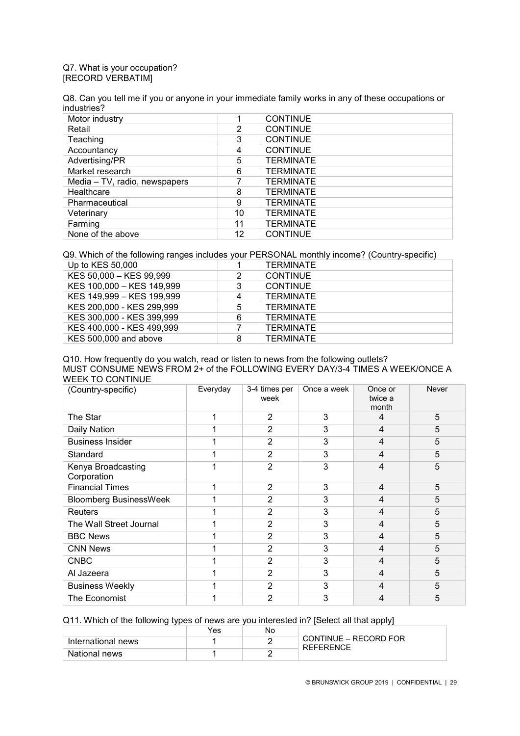### Q7. What is your occupation? [RECORD VERBATIM]

Q8. Can you tell me if you or anyone in your immediate family works in any of these occupations or industries?

| Motor industry                |    | <b>CONTINUE</b>  |
|-------------------------------|----|------------------|
| Retail                        | 2  | <b>CONTINUE</b>  |
| Teaching                      | 3  | <b>CONTINUE</b>  |
| Accountancy                   | 4  | <b>CONTINUE</b>  |
| Advertising/PR                | 5  | <b>TERMINATE</b> |
| Market research               | 6  | <b>TERMINATE</b> |
| Media – TV, radio, newspapers |    | <b>TERMINATE</b> |
| Healthcare                    | 8  | <b>TERMINATE</b> |
| Pharmaceutical                | 9  | <b>TERMINATE</b> |
| Veterinary                    | 10 | <b>TERMINATE</b> |
| Farming                       | 11 | <b>TERMINATE</b> |
| None of the above             | 12 | <b>CONTINUE</b>  |

Q9. Which of the following ranges includes your PERSONAL monthly income? (Country-specific)

| Up to KES 50,000          |   | <b>TERMINATE</b> |
|---------------------------|---|------------------|
| KES 50,000 - KES 99,999   | 2 | <b>CONTINUE</b>  |
| KES 100,000 - KES 149,999 | 3 | <b>CONTINUE</b>  |
| KES 149,999 - KES 199,999 | 4 | TERMINATE        |
| KES 200,000 - KES 299,999 | 5 | TERMINATE        |
| KES 300,000 - KES 399,999 | 6 | <b>TERMINATE</b> |
| KES 400,000 - KES 499,999 |   | <b>TERMINATE</b> |
| KES 500,000 and above     | 8 | TERMINATE        |

Q10. How frequently do you watch, read or listen to news from the following outlets? MUST CONSUME NEWS FROM 2+ of the FOLLOWING EVERY DAY/3-4 TIMES A WEEK/ONCE A WEEK TO CONTINUE

| (Country-specific)                | Everyday | 3-4 times per<br>week | Once a week | Once or<br>twice a<br>month | Never |
|-----------------------------------|----------|-----------------------|-------------|-----------------------------|-------|
| The Star                          |          | $\overline{2}$        | 3           | $\overline{4}$              | 5     |
| Daily Nation                      |          | 2                     | 3           | 4                           | 5     |
| <b>Business Insider</b>           |          | 2                     | 3           | 4                           | 5     |
| Standard                          |          | $\overline{2}$        | 3           | 4                           | 5     |
| Kenya Broadcasting<br>Corporation |          | $\overline{2}$        | 3           | 4                           | 5     |
| <b>Financial Times</b>            |          | 2                     | 3           | 4                           | 5     |
| <b>Bloomberg BusinessWeek</b>     |          | $\overline{2}$        | 3           | 4                           | 5     |
| <b>Reuters</b>                    |          | 2                     | 3           | 4                           | 5     |
| The Wall Street Journal           |          | 2                     | 3           | 4                           | 5     |
| <b>BBC News</b>                   |          | 2                     | 3           | 4                           | 5     |
| <b>CNN News</b>                   |          | $\overline{2}$        | 3           | $\overline{4}$              | 5     |
| <b>CNBC</b>                       |          | 2                     | 3           | 4                           | 5     |
| Al Jazeera                        |          | $\overline{2}$        | 3           | $\overline{4}$              | 5     |
| <b>Business Weekly</b>            |          | 2                     | 3           | 4                           | 5     |
| The Economist                     |          | $\overline{2}$        | 3           | 4                           | 5     |

Q11. Which of the following types of news are you interested in? [Select all that apply]

|                    | Yes | No |                                    |
|--------------------|-----|----|------------------------------------|
| International news |     |    | CONTINUE - RECORD FOR<br>REFERENCE |
| National news      |     |    |                                    |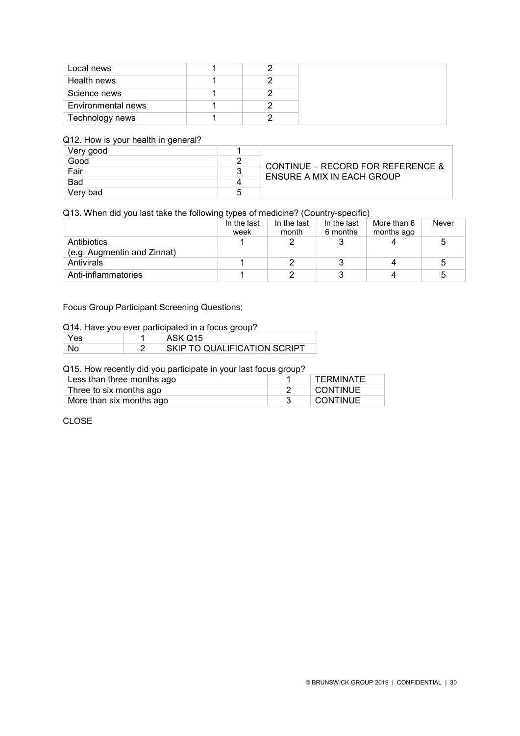| Local news         |  |
|--------------------|--|
| Health news        |  |
| Science news       |  |
| Environmental news |  |
| Technology news    |  |

### Q12. How is your health in general?

| ◡<br>Very good |                                                                 |
|----------------|-----------------------------------------------------------------|
| Good           |                                                                 |
| Fair           | CONTINUE – RECORD FOR REFERENCE &<br>ENSURE A MIX IN EACH GROUP |
| <b>Bad</b>     |                                                                 |
| Verv bad       |                                                                 |

### Q13. When did you last take the following types of medicine? (Country-specific)

|                             | In the last | In the last | In the last | More than 6 | Never |
|-----------------------------|-------------|-------------|-------------|-------------|-------|
|                             | week        | month       | 6 months    | months ago  |       |
| Antibiotics                 |             |             |             |             |       |
| (e.g. Augmentin and Zinnat) |             |             |             |             |       |
| Antivirals                  |             |             |             |             |       |
| Anti-inflammatories         |             |             |             |             |       |

### Focus Group Participant Screening Questions:

### Q14. Have you ever participated in a focus group?

| Yes. | ASK Q15                      |
|------|------------------------------|
|      | SKIP TO QUALIFICATION SCRIPT |

### Q15. How recently did you participate in your last focus group?

| Less than three months ago | <b>TERMINATE</b> |
|----------------------------|------------------|
| Three to six months ago    | CONTINUE         |
| More than six months ago   | CONTINUE         |

### CLOSE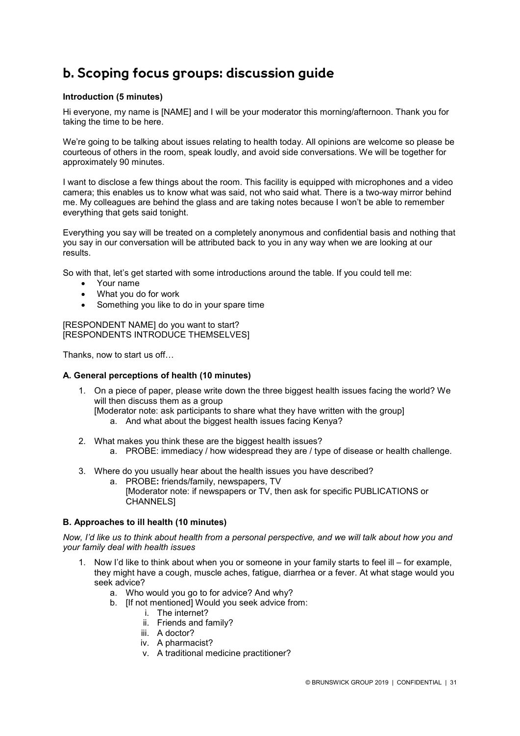# **b. Scoping focus groups: discussion guide**

### **Introduction (5 minutes)**

Hi everyone, my name is [NAME] and I will be your moderator this morning/afternoon. Thank you for taking the time to be here.

We're going to be talking about issues relating to health today. All opinions are welcome so please be courteous of others in the room, speak loudly, and avoid side conversations. We will be together for approximately 90 minutes.

I want to disclose a few things about the room. This facility is equipped with microphones and a video camera; this enables us to know what was said, not who said what. There is a two-way mirror behind me. My colleagues are behind the glass and are taking notes because I won't be able to remember everything that gets said tonight.

Everything you say will be treated on a completely anonymous and confidential basis and nothing that you say in our conversation will be attributed back to you in any way when we are looking at our results.

So with that, let's get started with some introductions around the table. If you could tell me:

- Your name
- What you do for work
- Something you like to do in your spare time

[RESPONDENT NAME] do you want to start? [RESPONDENTS INTRODUCE THEMSELVES]

Thanks, now to start us off…

### **A. General perceptions of health (10 minutes)**

- 1. On a piece of paper, please write down the three biggest health issues facing the world? We will then discuss them as a group
	- [Moderator note: ask participants to share what they have written with the group]
		- a. And what about the biggest health issues facing Kenya?
- 2. What makes you think these are the biggest health issues?
	- a. PROBE: immediacy / how widespread they are / type of disease or health challenge.
- 3. Where do you usually hear about the health issues you have described?
	- a. PROBE**:** friends/family, newspapers, TV [Moderator note: if newspapers or TV, then ask for specific PUBLICATIONS or CHANNELS]

### **B. Approaches to ill health (10 minutes)**

*Now, I'd like us to think about health from a personal perspective, and we will talk about how you and your family deal with health issues*

- 1. Now I'd like to think about when you or someone in your family starts to feel ill for example, they might have a cough, muscle aches, fatigue, diarrhea or a fever. At what stage would you seek advice?
	- a. Who would you go to for advice? And why?
	- b. [If not mentioned] Would you seek advice from:
		- i. The internet?
		- ii. Friends and family?
		- iii. A doctor?
		- iv. A pharmacist?
		- v. A traditional medicine practitioner?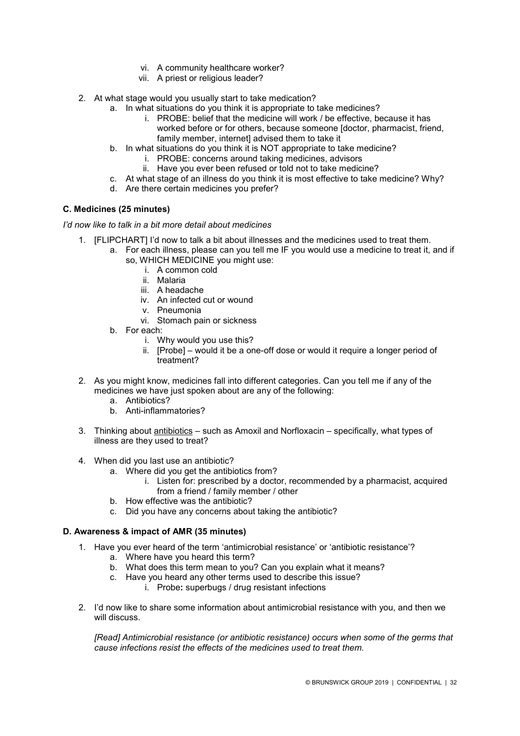- vi. A community healthcare worker?
- vii. A priest or religious leader?
- 2. At what stage would you usually start to take medication?
	- a. In what situations do you think it is appropriate to take medicines?
		- i. PROBE: belief that the medicine will work / be effective, because it has worked before or for others, because someone [doctor, pharmacist, friend, family member, internet] advised them to take it
	- b. In what situations do you think it is NOT appropriate to take medicine?
		- i. PROBE: concerns around taking medicines, advisors
		- ii. Have you ever been refused or told not to take medicine?
	- c. At what stage of an illness do you think it is most effective to take medicine? Why?
	- d. Are there certain medicines you prefer?

### **C. Medicines (25 minutes)**

*I'd now like to talk in a bit more detail about medicines* 

- 1. [FLIPCHART] I'd now to talk a bit about illnesses and the medicines used to treat them.
	- a. For each illness, please can you tell me IF you would use a medicine to treat it, and if so, WHICH MEDICINE you might use:
		- i. A common cold
		- ii. Malaria
		- iii. A headache
		- iv. An infected cut or wound
		- v. Pneumonia
		- vi. Stomach pain or sickness
		- b. For each:
			- i. Why would you use this?
			- ii. [Probe] would it be a one-off dose or would it require a longer period of treatment?
- 2. As you might know, medicines fall into different categories. Can you tell me if any of the medicines we have just spoken about are any of the following:
	- a. Antibiotics?
	- b. Anti-inflammatories?
- 3. Thinking about antibiotics such as Amoxil and Norfloxacin specifically, what types of illness are they used to treat?
- 4. When did you last use an antibiotic?
	- a. Where did you get the antibiotics from?
		- i. Listen for: prescribed by a doctor, recommended by a pharmacist, acquired from a friend / family member / other
	- b. How effective was the antibiotic?
	- c. Did you have any concerns about taking the antibiotic?

### **D. Awareness & impact of AMR (35 minutes)**

- 1. Have you ever heard of the term 'antimicrobial resistance' or 'antibiotic resistance'?
	- a. Where have you heard this term?
	- b. What does this term mean to you? Can you explain what it means?
	- c. Have you heard any other terms used to describe this issue?
		- i. Probe**:** superbugs / drug resistant infections
- 2. I'd now like to share some information about antimicrobial resistance with you, and then we will discuss.

*[Read] Antimicrobial resistance (or antibiotic resistance) occurs when some of the germs that cause infections resist the effects of the medicines used to treat them.*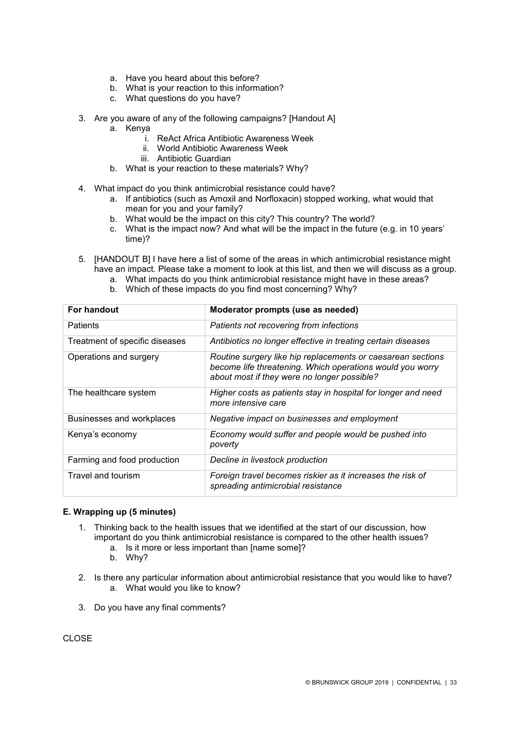- a. Have you heard about this before?
- b. What is your reaction to this information?
- c. What questions do you have?
- 3. Are you aware of any of the following campaigns? [Handout A]
	- a. Kenya
		- i. ReAct Africa Antibiotic Awareness Week
		- ii. World Antibiotic Awareness Week
		- iii. Antibiotic Guardian
	- b. What is your reaction to these materials? Why?
- 4. What impact do you think antimicrobial resistance could have?
	- a. If antibiotics (such as Amoxil and Norfloxacin) stopped working, what would that mean for you and your family?
	- b. What would be the impact on this city? This country? The world?
	- c. What is the impact now? And what will be the impact in the future (e.g. in 10 years' time)?
- 5. [HANDOUT B] I have here a list of some of the areas in which antimicrobial resistance might have an impact. Please take a moment to look at this list, and then we will discuss as a group.
	- a. What impacts do you think antimicrobial resistance might have in these areas?
	- b. Which of these impacts do you find most concerning? Why?

| For handout                    | Moderator prompts (use as needed)                                                                                                                                       |
|--------------------------------|-------------------------------------------------------------------------------------------------------------------------------------------------------------------------|
| Patients                       | Patients not recovering from infections                                                                                                                                 |
| Treatment of specific diseases | Antibiotics no longer effective in treating certain diseases                                                                                                            |
| Operations and surgery         | Routine surgery like hip replacements or caesarean sections<br>become life threatening. Which operations would you worry<br>about most if they were no longer possible? |
| The healthcare system          | Higher costs as patients stay in hospital for longer and need<br>more intensive care                                                                                    |
| Businesses and workplaces      | Negative impact on businesses and employment                                                                                                                            |
| Kenya's economy                | Economy would suffer and people would be pushed into<br>poverty                                                                                                         |
| Farming and food production    | Decline in livestock production                                                                                                                                         |
| Travel and tourism             | Foreign travel becomes riskier as it increases the risk of<br>spreading antimicrobial resistance                                                                        |

### **E. Wrapping up (5 minutes)**

- 1. Thinking back to the health issues that we identified at the start of our discussion, how important do you think antimicrobial resistance is compared to the other health issues?
	- a. Is it more or less important than [name some]?
	- b. Why?
- 2. Is there any particular information about antimicrobial resistance that you would like to have? a. What would you like to know?
- 3. Do you have any final comments?

CLOSE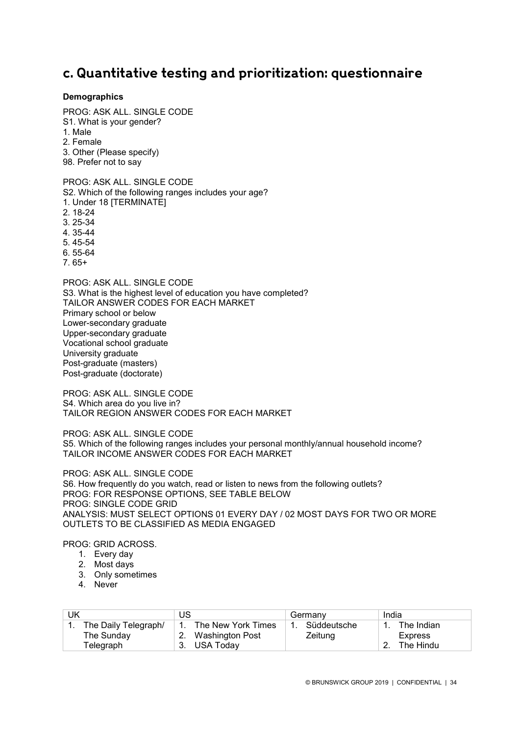### **c. Quantitative testing and prioritization: questionnaire**

### **Demographics**

PROG: ASK ALL. SINGLE CODE S1. What is your gender? 1. Male 2. Female 3. Other (Please specify) 98. Prefer not to say

PROG: ASK ALL. SINGLE CODE S2. Which of the following ranges includes your age? 1. Under 18 [TERMINATE] 2. 18-24 3. 25-34 4. 35-44 5. 45-54 6. 55-64 7. 65+ PROG: ASK ALL. SINGLE CODE S3. What is the highest level of education you have completed? TAILOR ANSWER CODES FOR EACH MARKET Primary school or below

Lower-secondary graduate Upper-secondary graduate Vocational school graduate University graduate Post-graduate (masters) Post-graduate (doctorate)

PROG: ASK ALL. SINGLE CODE S4. Which area do you live in? TAILOR REGION ANSWER CODES FOR EACH MARKET

PROG: ASK ALL. SINGLE CODE S5. Which of the following ranges includes your personal monthly/annual household income? TAILOR INCOME ANSWER CODES FOR EACH MARKET

PROG: ASK ALL. SINGLE CODE S6. How frequently do you watch, read or listen to news from the following outlets? PROG: FOR RESPONSE OPTIONS, SEE TABLE BELOW PROG: SINGLE CODE GRID ANALYSIS: MUST SELECT OPTIONS 01 EVERY DAY / 02 MOST DAYS FOR TWO OR MORE OUTLETS TO BE CLASSIFIED AS MEDIA ENGAGED

PROG: GRID ACROSS.

- 1. Every day
- 2. Most days
- 3. Only sometimes
- 4. Never

| UΚ                   | JS                    | Germany     | India          |
|----------------------|-----------------------|-------------|----------------|
| The Daily Telegraph/ | 1. The New York Times | Süddeutsche | The Indian     |
| The Sunday           | Washington Post       | Zeitung     | <b>Express</b> |
| Telegraph            | 3. USA Today          |             | The Hindu      |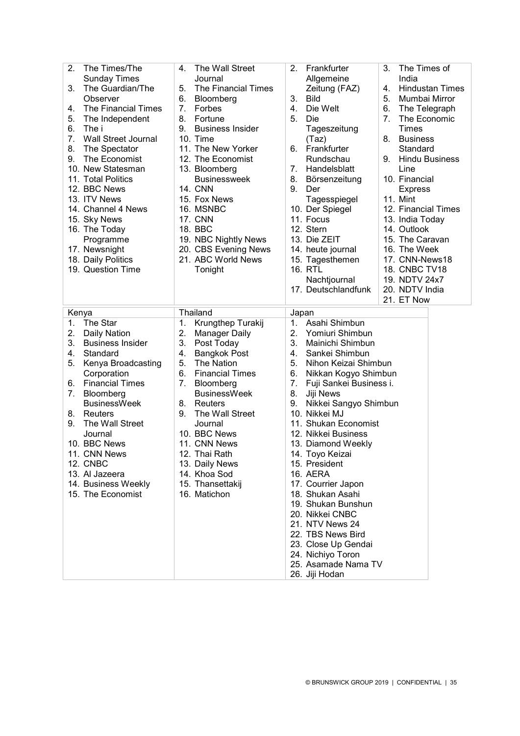| 2.<br>The Times/The<br><b>Sunday Times</b><br>The Guardian/The<br>3.<br>Observer<br>The Financial Times<br>4.<br>5.<br>The Independent<br>6.<br>The i<br>7.<br><b>Wall Street Journal</b><br>8.<br>The Spectator<br>9.<br>The Economist<br>10. New Statesman<br>11. Total Politics<br>12. BBC News<br>13. ITV News<br>14. Channel 4 News<br>15. Sky News<br>16. The Today<br>Programme<br>17. Newsnight | The Wall Street<br>4.<br>Journal<br>5.<br>The Financial Times<br>6.<br>Bloomberg<br>7.<br>Forbes<br>8.<br>Fortune<br>9.<br><b>Business Insider</b><br>10. Time<br>11. The New Yorker<br>12. The Economist<br>13. Bloomberg<br><b>Businessweek</b><br><b>14. CNN</b><br>15. Fox News<br>16. MSNBC<br><b>17. CNN</b><br>18. BBC<br>19. NBC Nightly News<br>20. CBS Evening News    | 2.<br>Frankfurter<br>Allgemeine<br>Zeitung (FAZ)<br>3.<br><b>Bild</b><br>4.<br>Die Welt<br>5.<br>Die<br>Tageszeitung<br>(Taz)<br>6.<br>Frankfurter<br>Rundschau<br>Handelsblatt<br>7.<br>8.<br>Börsenzeitung<br>9.<br>Der<br>Tagesspiegel<br>10. Der Spiegel<br>11. Focus<br>12. Stern<br>13. Die ZEIT<br>14. heute journal                                                                                                                                                                                                                                                                         | The Times of<br>3.<br>India<br><b>Hindustan Times</b><br>4.<br>Mumbai Mirror<br>5.<br>6.<br>The Telegraph<br>7 <sub>1</sub><br>The Economic<br>Times<br><b>Business</b><br>8.<br>Standard<br>9.<br><b>Hindu Business</b><br>Line<br>10. Financial<br><b>Express</b><br>11. Mint<br>12. Financial Times<br>13. India Today<br>14. Outlook<br>15. The Caravan<br>16. The Week |
|---------------------------------------------------------------------------------------------------------------------------------------------------------------------------------------------------------------------------------------------------------------------------------------------------------------------------------------------------------------------------------------------------------|----------------------------------------------------------------------------------------------------------------------------------------------------------------------------------------------------------------------------------------------------------------------------------------------------------------------------------------------------------------------------------|-----------------------------------------------------------------------------------------------------------------------------------------------------------------------------------------------------------------------------------------------------------------------------------------------------------------------------------------------------------------------------------------------------------------------------------------------------------------------------------------------------------------------------------------------------------------------------------------------------|-----------------------------------------------------------------------------------------------------------------------------------------------------------------------------------------------------------------------------------------------------------------------------------------------------------------------------------------------------------------------------|
| 18. Daily Politics                                                                                                                                                                                                                                                                                                                                                                                      | 21. ABC World News                                                                                                                                                                                                                                                                                                                                                               | 15. Tagesthemen                                                                                                                                                                                                                                                                                                                                                                                                                                                                                                                                                                                     | 17. CNN-News18                                                                                                                                                                                                                                                                                                                                                              |
| 19. Question Time                                                                                                                                                                                                                                                                                                                                                                                       | Tonight                                                                                                                                                                                                                                                                                                                                                                          | 16. RTL<br>Nachtjournal<br>17. Deutschlandfunk                                                                                                                                                                                                                                                                                                                                                                                                                                                                                                                                                      | 18. CNBC TV18<br>19. NDTV 24x7<br>20. NDTV India<br>21. ET Now                                                                                                                                                                                                                                                                                                              |
| Kenya                                                                                                                                                                                                                                                                                                                                                                                                   | <b>Thailand</b>                                                                                                                                                                                                                                                                                                                                                                  | Japan                                                                                                                                                                                                                                                                                                                                                                                                                                                                                                                                                                                               |                                                                                                                                                                                                                                                                                                                                                                             |
| The Star<br>1.<br>2.<br>Daily Nation<br>3.<br><b>Business Insider</b><br>4.<br>Standard<br>5.<br>Kenya Broadcasting<br>Corporation<br><b>Financial Times</b><br>6.<br>7.<br>Bloomberg<br><b>BusinessWeek</b><br>Reuters<br>8.<br>The Wall Street<br>9.<br>Journal<br>10. BBC News<br>11. CNN News<br><b>12. CNBC</b><br>13. Al Jazeera<br>14. Business Weekly<br>15. The Economist                      | Krungthep Turakij<br>1.<br>2.<br><b>Manager Daily</b><br>3.<br>Post Today<br><b>Bangkok Post</b><br>4.<br>5.<br>The Nation<br>6.<br><b>Financial Times</b><br>7.<br>Bloomberg<br><b>BusinessWeek</b><br>8.<br>Reuters<br>9.<br>The Wall Street<br>Journal<br>10. BBC News<br>11. CNN News<br>12. Thai Rath<br>13. Daily News<br>14. Khoa Sod<br>15. Thansettakij<br>16. Matichon | Asahi Shimbun<br>1.<br>2.<br>Yomiuri Shimbun<br>3.<br>Mainichi Shimbun<br>Sankei Shimbun<br>4.<br>5.<br>Nihon Keizai Shimbun<br>6.<br>Nikkan Kogyo Shimbun<br>7.<br>Fuji Sankei Business i.<br>8.<br>Jiji News<br>9.<br>Nikkei Sangyo Shimbun<br>10. Nikkei MJ<br>11. Shukan Economist<br>12. Nikkei Business<br>13. Diamond Weekly<br>14. Toyo Keizai<br>15. President<br>16. AERA<br>17. Courrier Japon<br>18. Shukan Asahi<br>19. Shukan Bunshun<br>20. Nikkei CNBC<br>21. NTV News 24<br>22. TBS News Bird<br>23. Close Up Gendai<br>24. Nichiyo Toron<br>25. Asamade Nama TV<br>26. Jiji Hodan |                                                                                                                                                                                                                                                                                                                                                                             |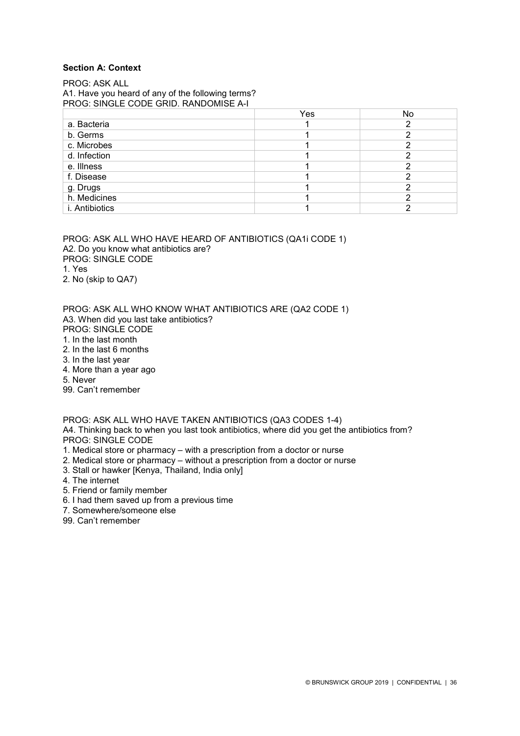### **Section A: Context**

PROG: ASK ALL A1. Have you heard of any of the following terms? PROG: SINGLE CODE GRID. RANDOMISE A-I

|                | Yes | No |
|----------------|-----|----|
| a. Bacteria    |     |    |
| b. Germs       |     |    |
| c. Microbes    |     |    |
| d. Infection   |     |    |
| e. Illness     |     |    |
| f. Disease     |     |    |
| g. Drugs       |     |    |
| h. Medicines   |     |    |
| i. Antibiotics |     |    |

PROG: ASK ALL WHO HAVE HEARD OF ANTIBIOTICS (QA1i CODE 1) A2. Do you know what antibiotics are? PROG: SINGLE CODE 1. Yes 2. No (skip to QA7)

PROG: ASK ALL WHO KNOW WHAT ANTIBIOTICS ARE (QA2 CODE 1) A3. When did you last take antibiotics? PROG: SINGLE CODE

- 1. In the last month
- 2. In the last 6 months
- 3. In the last year
- 4. More than a year ago
- 5. Never
- 99. Can't remember

PROG: ASK ALL WHO HAVE TAKEN ANTIBIOTICS (QA3 CODES 1-4)

A4. Thinking back to when you last took antibiotics, where did you get the antibiotics from? PROG: SINGLE CODE

- 1. Medical store or pharmacy with a prescription from a doctor or nurse
- 2. Medical store or pharmacy without a prescription from a doctor or nurse
- 3. Stall or hawker [Kenya, Thailand, India only]
- 4. The internet
- 5. Friend or family member
- 6. I had them saved up from a previous time
- 7. Somewhere/someone else
- 99. Can't remember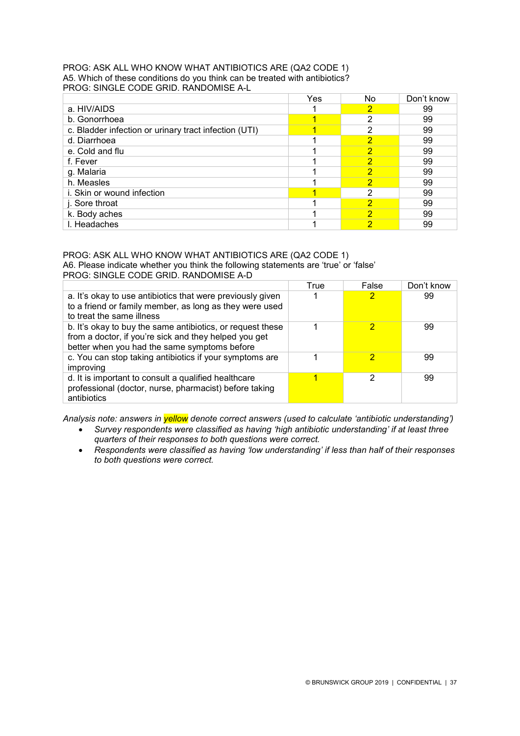#### PROG: ASK ALL WHO KNOW WHAT ANTIBIOTICS ARE (QA2 CODE 1) A5. Which of these conditions do you think can be treated with antibiotics? PROG: SINGLE CODE GRID. RANDOMISE A-L

|                                                       | Yes | No. | Don't know |
|-------------------------------------------------------|-----|-----|------------|
| a. HIV/AIDS                                           |     | 2   | 99         |
| b. Gonorrhoea                                         |     | 2   | 99         |
| c. Bladder infection or urinary tract infection (UTI) |     | 2   | 99         |
| d. Diarrhoea                                          |     | 2   | 99         |
| e. Cold and flu                                       |     | 2   | 99         |
| f. Fever                                              |     | 2   | 99         |
| g. Malaria                                            |     | 2   | 99         |
| h. Measles                                            |     | 2   | 99         |
| i. Skin or wound infection                            |     | 2   | 99         |
| j. Sore throat                                        |     | 2   | 99         |
| k. Body aches                                         |     | 2   | 99         |
| I. Headaches                                          |     | 2   | 99         |

### PROG: ASK ALL WHO KNOW WHAT ANTIBIOTICS ARE (QA2 CODE 1) A6. Please indicate whether you think the following statements are 'true' or 'false'

PROG: SINGLE CODE GRID. RANDOMISE A-D

|                                                                                                                                                                     | True | False | Don't know |
|---------------------------------------------------------------------------------------------------------------------------------------------------------------------|------|-------|------------|
| a. It's okay to use antibiotics that were previously given<br>to a friend or family member, as long as they were used<br>to treat the same illness                  |      |       | 99         |
| b. It's okay to buy the same antibiotics, or request these<br>from a doctor, if you're sick and they helped you get<br>better when you had the same symptoms before |      |       | 99         |
| c. You can stop taking antibiotics if your symptoms are<br>improving                                                                                                |      |       | 99         |
| d. It is important to consult a qualified healthcare<br>professional (doctor, nurse, pharmacist) before taking<br>antibiotics                                       |      | ົ     | 99         |

*Analysis note: answers in yellow denote correct answers (used to calculate 'antibiotic understanding')*

- *Survey respondents were classified as having 'high antibiotic understanding' if at least three quarters of their responses to both questions were correct.*
- *Respondents were classified as having 'low understanding' if less than half of their responses to both questions were correct.*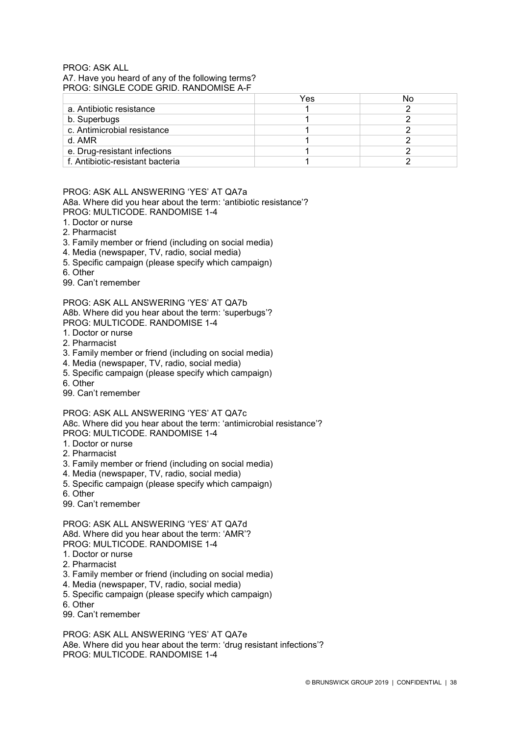### PROG: ASK ALL A7. Have you heard of any of the following terms? PROG: SINGLE CODE GRID. RANDOMISE A-F

|                                  | Yes | No |
|----------------------------------|-----|----|
| a. Antibiotic resistance         |     |    |
| b. Superbugs                     |     |    |
| c. Antimicrobial resistance      |     |    |
| d. AMR                           |     |    |
| e. Drug-resistant infections     |     |    |
| f. Antibiotic-resistant bacteria |     |    |

#### PROG: ASK ALL ANSWERING 'YES' AT QA7a A8a. Where did you hear about the term: 'antibiotic resistance'? PROG: MULTICODE. RANDOMISE 1-4

- 1. Doctor or nurse
- 2. Pharmacist
- 3. Family member or friend (including on social media)
- 4. Media (newspaper, TV, radio, social media)
- 5. Specific campaign (please specify which campaign)
- 6. Other
- 99. Can't remember

PROG: ASK ALL ANSWERING 'YES' AT QA7b A8b. Where did you hear about the term: 'superbugs'? PROG: MULTICODE. RANDOMISE 1-4

- 1. Doctor or nurse
- 2. Pharmacist
- 3. Family member or friend (including on social media)
- 4. Media (newspaper, TV, radio, social media)
- 5. Specific campaign (please specify which campaign)
- 6. Other
- 99. Can't remember

PROG: ASK ALL ANSWERING 'YES' AT QA7c A8c. Where did you hear about the term: 'antimicrobial resistance'? PROG: MULTICODE. RANDOMISE 1-4

- 1. Doctor or nurse
- 2. Pharmacist
- 3. Family member or friend (including on social media)
- 4. Media (newspaper, TV, radio, social media)
- 5. Specific campaign (please specify which campaign)
- 6. Other
- 99. Can't remember

PROG: ASK ALL ANSWERING 'YES' AT QA7d A8d. Where did you hear about the term: 'AMR'? PROG: MULTICODE. RANDOMISE 1-4

- 1. Doctor or nurse
- 2. Pharmacist
- 3. Family member or friend (including on social media)
- 4. Media (newspaper, TV, radio, social media)
- 5. Specific campaign (please specify which campaign)
- 6. Other
- 99. Can't remember

PROG: ASK ALL ANSWERING 'YES' AT QA7e A8e. Where did you hear about the term: 'drug resistant infections'? PROG: MULTICODE. RANDOMISE 1-4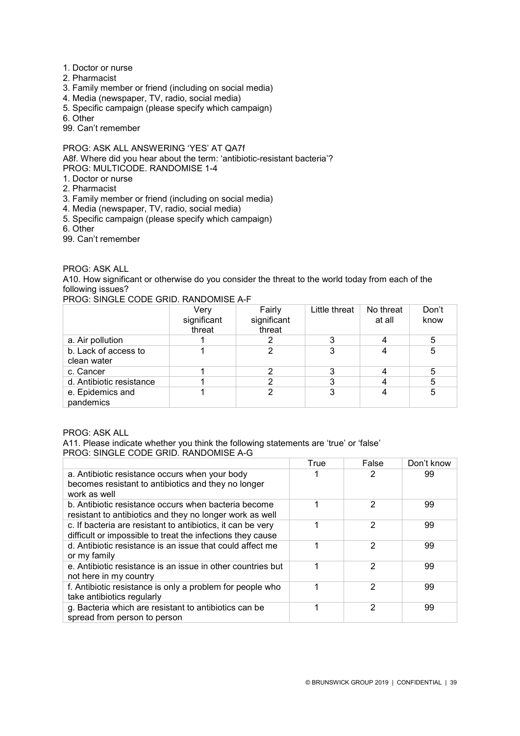- 1. Doctor or nurse
- 2. Pharmacist
- 3. Family member or friend (including on social media)
- 4. Media (newspaper, TV, radio, social media)
- 5. Specific campaign (please specify which campaign)
- 6. Other
- 99. Can't remember

PROG: ASK ALL ANSWERING 'YES' AT QA7f A8f. Where did you hear about the term: 'antibiotic-resistant bacteria'? PROG: MULTICODE. RANDOMISE 1-4

- 1. Doctor or nurse
- 2. Pharmacist
- 3. Family member or friend (including on social media)
- 4. Media (newspaper, TV, radio, social media)
- 5. Specific campaign (please specify which campaign)
- 6. Other
- 99. Can't remember

### PROG: ASK ALL

A10. How significant or otherwise do you consider the threat to the world today from each of the following issues?

PROG: SINGLE CODE GRID. RANDOMISE A-F

|                                     | Very<br>significant<br>threat | Fairly<br>significant<br>threat | Little threat | No threat<br>at all | Don't<br>know |
|-------------------------------------|-------------------------------|---------------------------------|---------------|---------------------|---------------|
| a. Air pollution                    |                               |                                 |               |                     | 5             |
| b. Lack of access to<br>clean water |                               |                                 |               |                     | 5             |
| c. Cancer                           |                               |                                 |               |                     | 5             |
| d. Antibiotic resistance            |                               |                                 |               |                     | 5             |
| e. Epidemics and<br>pandemics       |                               |                                 |               |                     | 5             |

PROG: ASK ALL

A11. Please indicate whether you think the following statements are 'true' or 'false' PROG: SINGLE CODE GRID. RANDOMISE A-G

|                                                                                                                           | True | False | Don't know |
|---------------------------------------------------------------------------------------------------------------------------|------|-------|------------|
| a. Antibiotic resistance occurs when your body<br>becomes resistant to antibiotics and they no longer<br>work as well     |      |       | 99         |
| b. Antibiotic resistance occurs when bacteria become<br>resistant to antibiotics and they no longer work as well          |      | 2     | 99         |
| c. If bacteria are resistant to antibiotics, it can be very<br>difficult or impossible to treat the infections they cause |      | 2     | 99         |
| d. Antibiotic resistance is an issue that could affect me<br>or my family                                                 |      | 2     | 99         |
| e. Antibiotic resistance is an issue in other countries but<br>not here in my country                                     |      | 2     | 99         |
| f. Antibiotic resistance is only a problem for people who<br>take antibiotics regularly                                   |      | 2     | 99         |
| g. Bacteria which are resistant to antibiotics can be<br>spread from person to person                                     |      | 2     | 99         |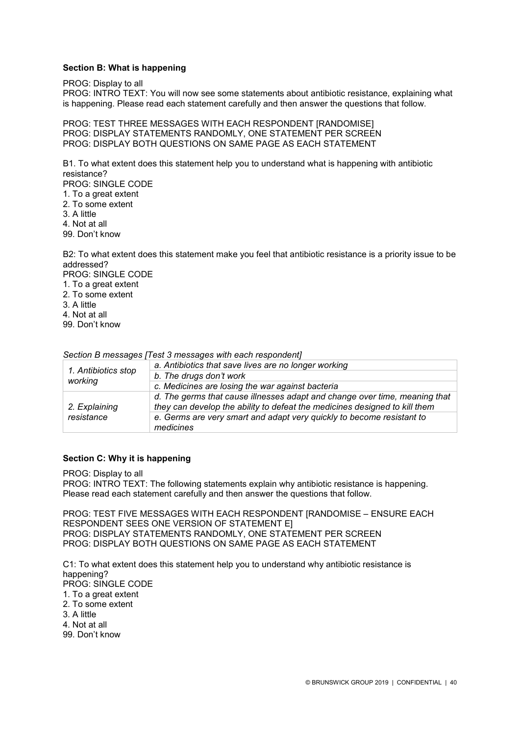### **Section B: What is happening**

PROG: Display to all

PROG: INTRO TEXT: You will now see some statements about antibiotic resistance, explaining what is happening. Please read each statement carefully and then answer the questions that follow.

PROG: TEST THREE MESSAGES WITH EACH RESPONDENT [RANDOMISE] PROG: DISPLAY STATEMENTS RANDOMLY, ONE STATEMENT PER SCREEN PROG: DISPLAY BOTH QUESTIONS ON SAME PAGE AS EACH STATEMENT

B1. To what extent does this statement help you to understand what is happening with antibiotic resistance?

PROG: SINGLE CODE

- 1. To a great extent
- 2. To some extent
- 3. A little
- 4. Not at all

99. Don't know

B2: To what extent does this statement make you feel that antibiotic resistance is a priority issue to be addressed?

PROG: SINGLE CODE

- 1. To a great extent
- 2. To some extent
- 3. A little
- 4. Not at all
- 99. Don't know

*Section B messages [Test 3 messages with each respondent]*

| 1. Antibiotics stop<br>working | a. Antibiotics that save lives are no longer working                                                                                                     |
|--------------------------------|----------------------------------------------------------------------------------------------------------------------------------------------------------|
|                                | b. The drugs don't work                                                                                                                                  |
|                                | c. Medicines are losing the war against bacteria                                                                                                         |
| 2. Explaining                  | d. The germs that cause illnesses adapt and change over time, meaning that<br>they can develop the ability to defeat the medicines designed to kill them |
| resistance                     | e. Germs are very smart and adapt very quickly to become resistant to<br>medicines                                                                       |

### **Section C: Why it is happening**

PROG: Display to all

PROG: INTRO TEXT: The following statements explain why antibiotic resistance is happening. Please read each statement carefully and then answer the questions that follow.

PROG: TEST FIVE MESSAGES WITH EACH RESPONDENT [RANDOMISE – ENSURE EACH RESPONDENT SEES ONE VERSION OF STATEMENT E] PROG: DISPLAY STATEMENTS RANDOMLY, ONE STATEMENT PER SCREEN PROG: DISPLAY BOTH QUESTIONS ON SAME PAGE AS EACH STATEMENT

C1: To what extent does this statement help you to understand why antibiotic resistance is happening? PROG: SINGLE CODE 1. To a great extent 2. To some extent 3. A little 4. Not at all 99. Don't know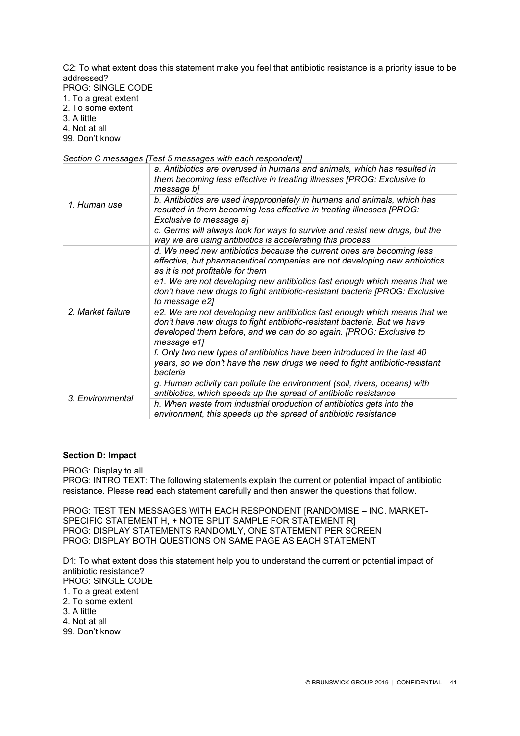C2: To what extent does this statement make you feel that antibiotic resistance is a priority issue to be addressed?

PROG: SINGLE CODE

- 1. To a great extent 2. To some extent
- 3. A little

4. Not at all

99. Don't know

*Section C messages [Test 5 messages with each respondent]*

| 1. Human use                          | a. Antibiotics are overused in humans and animals, which has resulted in<br>them becoming less effective in treating illnesses [PROG: Exclusive to<br>message b]                                                                           |
|---------------------------------------|--------------------------------------------------------------------------------------------------------------------------------------------------------------------------------------------------------------------------------------------|
|                                       | b. Antibiotics are used inappropriately in humans and animals, which has<br>resulted in them becoming less effective in treating illnesses [PROG:<br>Exclusive to message a]                                                               |
|                                       | c. Germs will always look for ways to survive and resist new drugs, but the<br>way we are using antibiotics is accelerating this process                                                                                                   |
| 2. Market failure<br>3. Environmental | d. We need new antibiotics because the current ones are becoming less<br>effective, but pharmaceutical companies are not developing new antibiotics<br>as it is not profitable for them                                                    |
|                                       | e1. We are not developing new antibiotics fast enough which means that we<br>don't have new drugs to fight antibiotic-resistant bacteria [PROG: Exclusive<br>to message e2]                                                                |
|                                       | e2. We are not developing new antibiotics fast enough which means that we<br>don't have new drugs to fight antibiotic-resistant bacteria. But we have<br>developed them before, and we can do so again. [PROG: Exclusive to<br>message e1] |
|                                       | f. Only two new types of antibiotics have been introduced in the last 40<br>years, so we don't have the new drugs we need to fight antibiotic-resistant<br>bacteria                                                                        |
|                                       | g. Human activity can pollute the environment (soil, rivers, oceans) with<br>antibiotics, which speeds up the spread of antibiotic resistance                                                                                              |
|                                       | h. When waste from industrial production of antibiotics gets into the<br>environment, this speeds up the spread of antibiotic resistance                                                                                                   |

### **Section D: Impact**

PROG: Display to all

PROG: INTRO TEXT: The following statements explain the current or potential impact of antibiotic resistance. Please read each statement carefully and then answer the questions that follow.

PROG: TEST TEN MESSAGES WITH EACH RESPONDENT [RANDOMISE – INC. MARKET-SPECIFIC STATEMENT H, + NOTE SPLIT SAMPLE FOR STATEMENT R] PROG: DISPLAY STATEMENTS RANDOMLY, ONE STATEMENT PER SCREEN PROG: DISPLAY BOTH QUESTIONS ON SAME PAGE AS EACH STATEMENT

D1: To what extent does this statement help you to understand the current or potential impact of antibiotic resistance? PROG: SINGLE CODE

1. To a great extent

- 2. To some extent
- 3. A little
- 4. Not at all
- 99. Don't know
-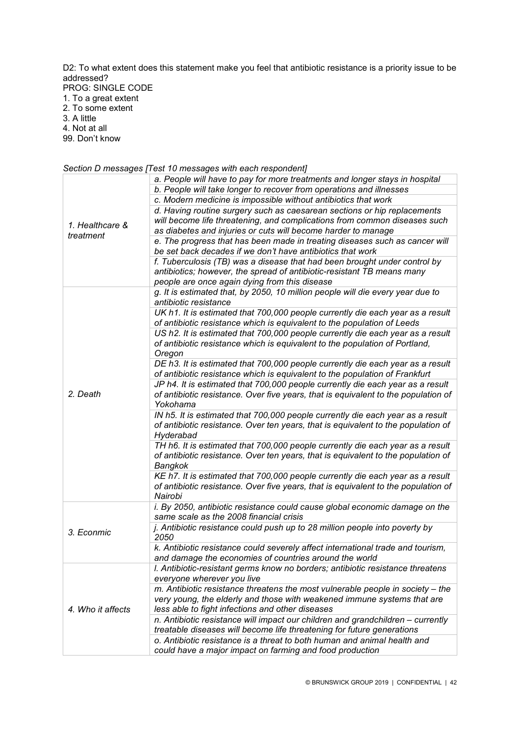D2: To what extent does this statement make you feel that antibiotic resistance is a priority issue to be addressed? PROG: SINGLE CODE 1. To a great extent

- 2. To some extent
- 3. A little

4. Not at all

99. Don't know

### *Section D messages [Test 10 messages with each respondent]*

|                   | a. People will have to pay for more treatments and longer stays in hospital                                                               |
|-------------------|-------------------------------------------------------------------------------------------------------------------------------------------|
|                   | b. People will take longer to recover from operations and illnesses                                                                       |
|                   | c. Modern medicine is impossible without antibiotics that work                                                                            |
|                   | d. Having routine surgery such as caesarean sections or hip replacements                                                                  |
|                   | will become life threatening, and complications from common diseases such                                                                 |
| 1. Healthcare &   | as diabetes and injuries or cuts will become harder to manage                                                                             |
| treatment         | e. The progress that has been made in treating diseases such as cancer will<br>be set back decades if we don't have antibiotics that work |
|                   | f. Tuberculosis (TB) was a disease that had been brought under control by                                                                 |
|                   | antibiotics; however, the spread of antibiotic-resistant TB means many                                                                    |
|                   | people are once again dying from this disease                                                                                             |
|                   | g. It is estimated that, by 2050, 10 million people will die every year due to                                                            |
|                   | antibiotic resistance                                                                                                                     |
|                   | UK h1. It is estimated that 700,000 people currently die each year as a result                                                            |
|                   | of antibiotic resistance which is equivalent to the population of Leeds                                                                   |
|                   | US h2. It is estimated that 700,000 people currently die each year as a result                                                            |
|                   | of antibiotic resistance which is equivalent to the population of Portland,                                                               |
|                   | Oregon                                                                                                                                    |
|                   | DE h3. It is estimated that 700,000 people currently die each year as a result                                                            |
|                   | of antibiotic resistance which is equivalent to the population of Frankfurt                                                               |
|                   | JP h4. It is estimated that 700,000 people currently die each year as a result                                                            |
| 2. Death          | of antibiotic resistance. Over five years, that is equivalent to the population of<br>Yokohama                                            |
|                   | IN h5. It is estimated that 700,000 people currently die each year as a result                                                            |
|                   | of antibiotic resistance. Over ten years, that is equivalent to the population of                                                         |
|                   | Hyderabad                                                                                                                                 |
|                   | TH h6. It is estimated that 700,000 people currently die each year as a result                                                            |
|                   | of antibiotic resistance. Over ten years, that is equivalent to the population of                                                         |
|                   | Bangkok                                                                                                                                   |
|                   | KE h7. It is estimated that 700,000 people currently die each year as a result                                                            |
|                   | of antibiotic resistance. Over five years, that is equivalent to the population of                                                        |
|                   | Nairobi                                                                                                                                   |
|                   | i. By 2050, antibiotic resistance could cause global economic damage on the                                                               |
|                   | same scale as the 2008 financial crisis                                                                                                   |
| 3. Econmic        | j. Antibiotic resistance could push up to 28 million people into poverty by                                                               |
|                   | 2050                                                                                                                                      |
|                   | k. Antibiotic resistance could severely affect international trade and tourism,                                                           |
|                   | and damage the economies of countries around the world                                                                                    |
|                   | I. Antibiotic-resistant germs know no borders; antibiotic resistance threatens                                                            |
|                   | everyone wherever you live                                                                                                                |
|                   | m. Antibiotic resistance threatens the most vulnerable people in society - the                                                            |
|                   | very young, the elderly and those with weakened immune systems that are                                                                   |
| 4. Who it affects | less able to fight infections and other diseases                                                                                          |
|                   | n. Antibiotic resistance will impact our children and grandchildren - currently                                                           |
|                   | treatable diseases will become life threatening for future generations                                                                    |
|                   | o. Antibiotic resistance is a threat to both human and animal health and                                                                  |
|                   | could have a major impact on farming and food production                                                                                  |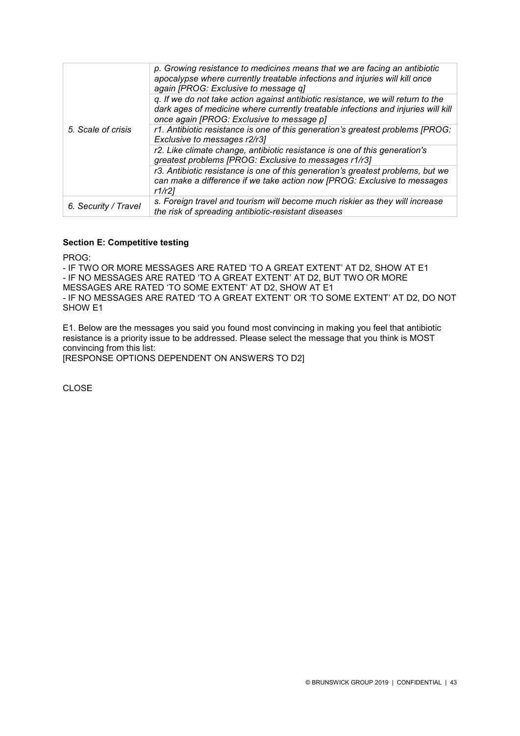|                      | p. Growing resistance to medicines means that we are facing an antibiotic<br>apocalypse where currently treatable infections and injuries will kill once<br>again [PROG: Exclusive to message q]                   |
|----------------------|--------------------------------------------------------------------------------------------------------------------------------------------------------------------------------------------------------------------|
|                      | q. If we do not take action against antibiotic resistance, we will return to the<br>dark ages of medicine where currently treatable infections and injuries will kill<br>once again [PROG: Exclusive to message p] |
| 5. Scale of crisis   | r1. Antibiotic resistance is one of this generation's greatest problems [PROG:<br>Exclusive to messages r2/r3]                                                                                                     |
|                      | r2. Like climate change, antibiotic resistance is one of this generation's<br>greatest problems [PROG: Exclusive to messages r1/r3]                                                                                |
|                      | r3. Antibiotic resistance is one of this generation's greatest problems, but we<br>can make a difference if we take action now [PROG: Exclusive to messages<br>r1/r21                                              |
| 6. Security / Travel | s. Foreign travel and tourism will become much riskier as they will increase<br>the risk of spreading antibiotic-resistant diseases                                                                                |

### **Section E: Competitive testing**

PROG:

- IF TWO OR MORE MESSAGES ARE RATED 'TO A GREAT EXTENT' AT D2, SHOW AT E1 - IF NO MESSAGES ARE RATED 'TO A GREAT EXTENT' AT D2, BUT TWO OR MORE MESSAGES ARE RATED 'TO SOME EXTENT' AT D2, SHOW AT E1 - IF NO MESSAGES ARE RATED 'TO A GREAT EXTENT' OR 'TO SOME EXTENT' AT D2, DO NOT SHOW E1

E1. Below are the messages you said you found most convincing in making you feel that antibiotic resistance is a priority issue to be addressed. Please select the message that you think is MOST convincing from this list:

[RESPONSE OPTIONS DEPENDENT ON ANSWERS TO D2]

CLOSE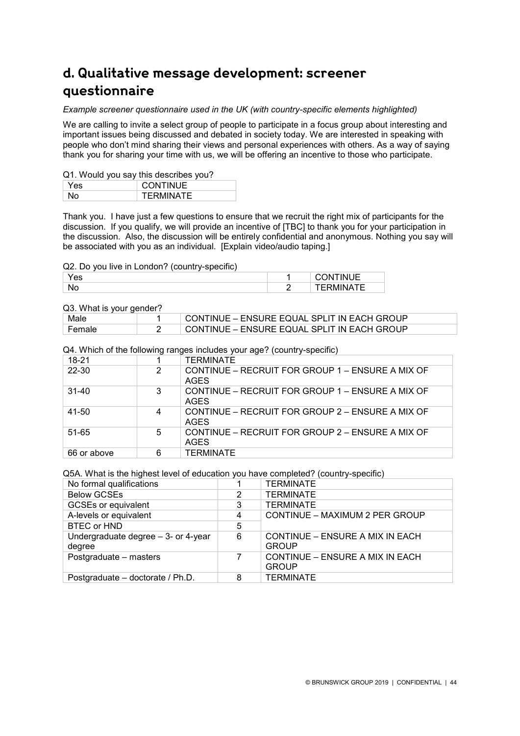# **d. Qualitative message development: screener questionnaire**

### *Example screener questionnaire used in the UK (with country-specific elements highlighted)*

We are calling to invite a select group of people to participate in a focus group about interesting and important issues being discussed and debated in society today. We are interested in speaking with people who don't mind sharing their views and personal experiences with others. As a way of saying thank you for sharing your time with us, we will be offering an incentive to those who participate.

### Q1. Would you say this describes you?

| Yes | <b>CONTINUE</b>  |
|-----|------------------|
| N٥  | <b>TERMINATE</b> |

Thank you. I have just a few questions to ensure that we recruit the right mix of participants for the discussion. If you qualify, we will provide an incentive of [TBC] to thank you for your participation in the discussion. Also, the discussion will be entirely confidential and anonymous. Nothing you say will be associated with you as an individual. [Explain video/audio taping.]

### Q2. Do you live in London? (country-specific)

| ౚ  | -  . -<br>n<br>╺<br>. |
|----|-----------------------|
| N0 | --<br>-               |

### Q3. What is your gender?

| QU. <i>WHICH</i> IS YOUI YOHOOI : |  |                                             |  |  |  |  |
|-----------------------------------|--|---------------------------------------------|--|--|--|--|
| Male                              |  | CONTINUE – ENSURE EQUAL SPLIT IN EACH GROUP |  |  |  |  |
| ≒ Female                          |  | CONTINUE - ENSURE EQUAL SPLIT IN EACH GROUP |  |  |  |  |

Q4. Which of the following ranges includes your age? (country-specific)

| 18-21       |   | <b>TFRMINATF</b>                                           |
|-------------|---|------------------------------------------------------------|
| 22-30       | 2 | CONTINUE – RECRUIT FOR GROUP 1 – ENSURE A MIX OF<br>AGES   |
| $31 - 40$   | 3 | CONTINUE – RECRUIT FOR GROUP 1 – ENSURE A MIX OF<br>AGES   |
| $41 - 50$   | 4 | CONTINUE – RECRUIT FOR GROUP $2$ – ENSURE A MIX OF<br>AGES |
| 51-65       | 5 | CONTINUE – RECRUIT FOR GROUP $2$ – ENSURE A MIX OF<br>AGES |
| 66 or above | 6 | TERMINATE                                                  |

Q5A. What is the highest level of education you have completed? (country-specific)

| No formal qualifications                        |   | <b>TERMINATE</b>                                |
|-------------------------------------------------|---|-------------------------------------------------|
| <b>Below GCSEs</b>                              | 2 | <b>TERMINATE</b>                                |
| <b>GCSEs or equivalent</b>                      | 3 | <b>TERMINATE</b>                                |
| A-levels or equivalent                          | 4 | CONTINUE - MAXIMUM 2 PER GROUP                  |
| <b>BTEC or HND</b>                              | 5 |                                                 |
| Undergraduate degree $-3$ - or 4-year<br>degree | 6 | CONTINUE – ENSURE A MIX IN EACH<br><b>GROUP</b> |
| Postgraduate - masters                          | 7 | CONTINUE – ENSURE A MIX IN EACH<br><b>GROUP</b> |
| Postgraduate - doctorate / Ph.D.                | 8 | <b>TERMINATE</b>                                |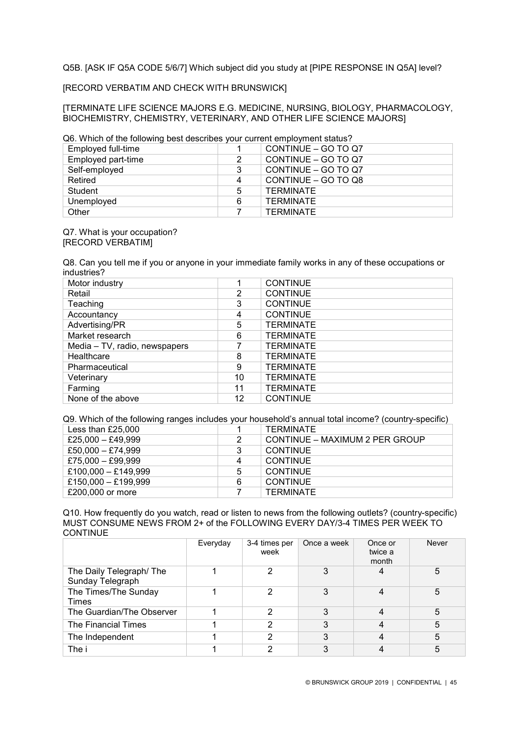Q5B. [ASK IF Q5A CODE 5/6/7] Which subject did you study at [PIPE RESPONSE IN Q5A] level?

[RECORD VERBATIM AND CHECK WITH BRUNSWICK]

[TERMINATE LIFE SCIENCE MAJORS E.G. MEDICINE, NURSING, BIOLOGY, PHARMACOLOGY, BIOCHEMISTRY, CHEMISTRY, VETERINARY, AND OTHER LIFE SCIENCE MAJORS]

Q6. Which of the following best describes your current employment status?

| Employed full-time |   | CONTINUE - GO TO Q7 |
|--------------------|---|---------------------|
| Employed part-time | 2 | CONTINUE - GO TO Q7 |
| Self-employed      | 3 | CONTINUE - GO TO Q7 |
| Retired            | 4 | CONTINUE - GO TO Q8 |
| Student            | 5 | TERMINATE           |
| Unemployed         | 6 | TERMINATE           |
| Other              |   | TERMINATE           |

Q7. What is your occupation? [RECORD VERBATIM]

Q8. Can you tell me if you or anyone in your immediate family works in any of these occupations or industries?

| Motor industry                |    | <b>CONTINUE</b>  |
|-------------------------------|----|------------------|
| Retail                        | 2  | <b>CONTINUE</b>  |
| Teaching                      | 3  | <b>CONTINUE</b>  |
| Accountancy                   | 4  | <b>CONTINUE</b>  |
| Advertising/PR                | 5  | <b>TERMINATE</b> |
| Market research               | 6  | <b>TERMINATE</b> |
| Media – TV, radio, newspapers |    | <b>TERMINATE</b> |
| Healthcare                    | 8  | <b>TERMINATE</b> |
| Pharmaceutical                | 9  | <b>TERMINATE</b> |
| Veterinary                    | 10 | <b>TERMINATE</b> |
| Farming                       | 11 | <b>TERMINATE</b> |
| None of the above             | 12 | <b>CONTINUE</b>  |

Q9. Which of the following ranges includes your household's annual total income? (country-specific)

| Less than $£25,000$ |   | TERMINATE                      |
|---------------------|---|--------------------------------|
| £25,000 $-$ £49,999 | 2 | CONTINUE – MAXIMUM 2 PER GROUP |
| £50,000 $-$ £74,999 | 3 | <b>CONTINUE</b>                |
| £75,000 $-$ £99,999 | 4 | <b>CONTINUE</b>                |
| £100,000 - £149,999 | 5 | <b>CONTINUE</b>                |
| £150,000 - £199,999 | 6 | <b>CONTINUE</b>                |
| £200,000 or more    |   | TERMINATE                      |
|                     |   |                                |

Q10. How frequently do you watch, read or listen to news from the following outlets? (country-specific) MUST CONSUME NEWS FROM 2+ of the FOLLOWING EVERY DAY/3-4 TIMES PER WEEK TO **CONTINUE** 

|                                             | Everyday | 3-4 times per<br>week | Once a week | Once or<br>twice a<br>month | <b>Never</b> |
|---------------------------------------------|----------|-----------------------|-------------|-----------------------------|--------------|
| The Daily Telegraph/The<br>Sunday Telegraph |          | 2                     | 3           |                             | 5            |
| The Times/The Sunday<br>Times               |          | っ                     |             |                             | 5            |
| The Guardian/The Observer                   |          | 2                     |             |                             | 5            |
| The Financial Times                         |          | 2                     | 3           |                             | 5            |
| The Independent                             |          | 2                     |             |                             | 5            |
| The i                                       |          | າ                     |             |                             | 5            |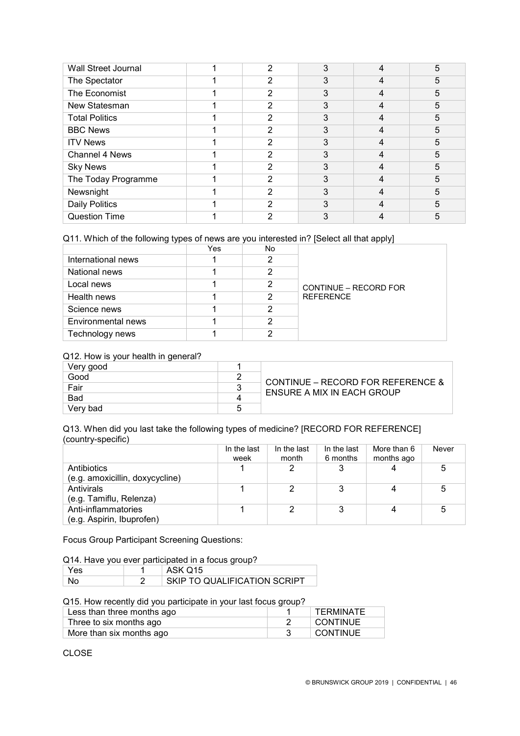| <b>Wall Street Journal</b> | 2 |   | 5 |
|----------------------------|---|---|---|
| The Spectator              | 2 |   | 5 |
| The Economist              | 2 | 3 | 5 |
| New Statesman              | 2 | 3 | 5 |
| <b>Total Politics</b>      | 2 | 3 | 5 |
| <b>BBC News</b>            | 2 | 3 | 5 |
| <b>ITV News</b>            | 2 | 3 | 5 |
| Channel 4 News             | 2 | 3 | 5 |
| <b>Sky News</b>            | 2 |   | 5 |
| The Today Programme        | 2 |   | 5 |
| Newsnight                  | 2 | 3 | 5 |
| <b>Daily Politics</b>      | 2 | 3 | 5 |
| <b>Question Time</b>       | 2 |   | 5 |

### Q11. Which of the following types of news are you interested in? [Select all that apply]

|                    | Yes | No |                       |
|--------------------|-----|----|-----------------------|
| International news |     | 2  |                       |
| National news      |     | 2  |                       |
| Local news         |     | 2  | CONTINUE - RECORD FOR |
| Health news        |     | 2  | <b>REFERENCE</b>      |
| Science news       |     | 2  |                       |
| Environmental news |     | າ  |                       |
| Technology news    |     | ◠  |                       |

### Q12. How is your health in general?

| ຼ<br>Very good |   |                                   |  |  |
|----------------|---|-----------------------------------|--|--|
| Good           |   | CONTINUE – RECORD FOR REFERENCE & |  |  |
| Fair           |   | ENSURE A MIX IN EACH GROUP        |  |  |
| <b>Bad</b>     |   |                                   |  |  |
| Verv bad       | 5 |                                   |  |  |

### Q13. When did you last take the following types of medicine? [RECORD FOR REFERENCE] (country-specific)

|                                 | In the last | In the last | In the last | More than 6 | Never |
|---------------------------------|-------------|-------------|-------------|-------------|-------|
|                                 | week        | month       | 6 months    | months ago  |       |
| Antibiotics                     |             |             | 3           |             |       |
| (e.g. amoxicillin, doxycycline) |             |             |             |             |       |
| Antivirals                      |             |             | 3           |             |       |
| (e.g. Tamiflu, Relenza)         |             |             |             |             |       |
| Anti-inflammatories             |             |             |             |             |       |
| (e.g. Aspirin, Ibuprofen)       |             |             |             |             |       |

Focus Group Participant Screening Questions:

Q14. Have you ever participated in a focus group?

| 'es | ASK Q15                      |
|-----|------------------------------|
|     | SKIP TO QUALIFICATION SCRIPT |

Q15. How recently did you participate in your last focus group?

| Less than three months ago | <b>TERMINATE</b> |
|----------------------------|------------------|
| Three to six months ago    | <b>CONTINUE</b>  |
| More than six months ago   | I CONTINUE       |

CLOSE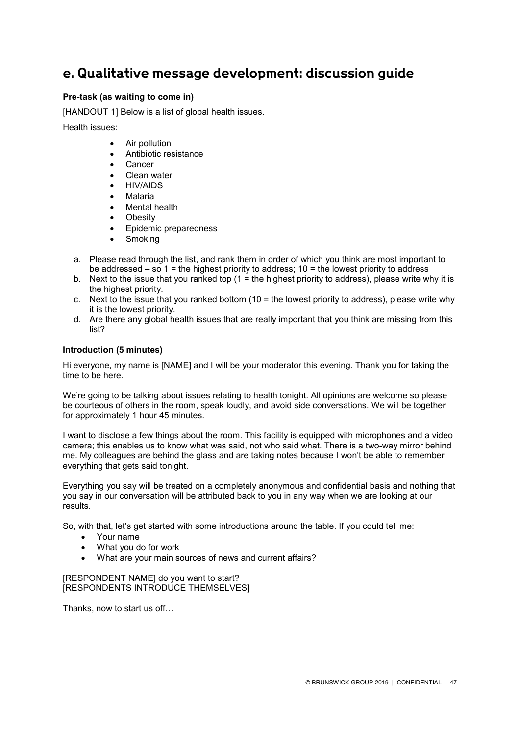### **e. Qualitative message development: discussion guide**

### **Pre-task (as waiting to come in)**

[HANDOUT 1] Below is a list of global health issues.

Health issues:

- Air pollution
- Antibiotic resistance
- Cancer
- Clean water
- HIV/AIDS
- Malaria
- Mental health
- **Obesity**
- Epidemic preparedness
- **Smoking**
- a. Please read through the list, and rank them in order of which you think are most important to be addressed – so 1 = the highest priority to address; 10 = the lowest priority to address
- b. Next to the issue that you ranked top  $(1 =$  the highest priority to address), please write why it is the highest priority.
- c. Next to the issue that you ranked bottom  $(10 =$  the lowest priority to address), please write why it is the lowest priority.
- d. Are there any global health issues that are really important that you think are missing from this list?

### **Introduction (5 minutes)**

Hi everyone, my name is [NAME] and I will be your moderator this evening. Thank you for taking the time to be here.

We're going to be talking about issues relating to health tonight. All opinions are welcome so please be courteous of others in the room, speak loudly, and avoid side conversations. We will be together for approximately 1 hour 45 minutes.

I want to disclose a few things about the room. This facility is equipped with microphones and a video camera; this enables us to know what was said, not who said what. There is a two-way mirror behind me. My colleagues are behind the glass and are taking notes because I won't be able to remember everything that gets said tonight.

Everything you say will be treated on a completely anonymous and confidential basis and nothing that you say in our conversation will be attributed back to you in any way when we are looking at our results.

So, with that, let's get started with some introductions around the table. If you could tell me:

- Your name
- What you do for work
- What are your main sources of news and current affairs?

[RESPONDENT NAME] do you want to start? [RESPONDENTS INTRODUCE THEMSELVES]

Thanks, now to start us off…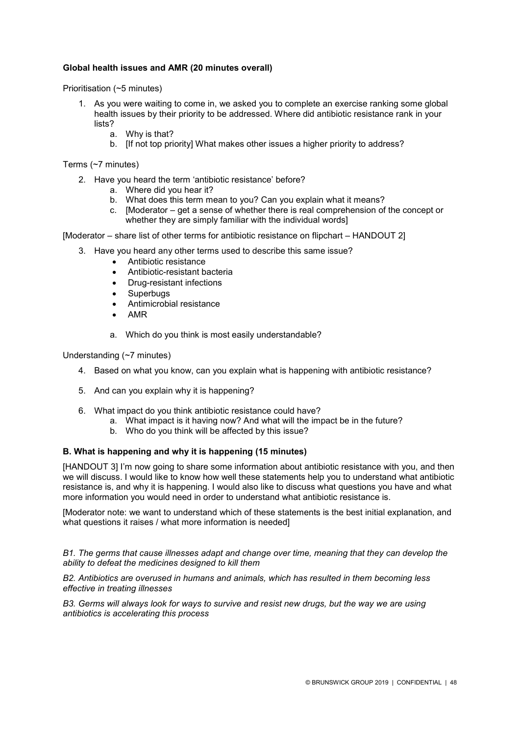### **Global health issues and AMR (20 minutes overall)**

Prioritisation (~5 minutes)

- 1. As you were waiting to come in, we asked you to complete an exercise ranking some global health issues by their priority to be addressed. Where did antibiotic resistance rank in your lists?
	- a. Why is that?
	- b. [If not top priority] What makes other issues a higher priority to address?

Terms (~7 minutes)

- 2. Have you heard the term 'antibiotic resistance' before?
	- a. Where did you hear it?
	- b. What does this term mean to you? Can you explain what it means?
	- c. [Moderator get a sense of whether there is real comprehension of the concept or whether they are simply familiar with the individual words]

[Moderator – share list of other terms for antibiotic resistance on flipchart – HANDOUT 2]

- 3. Have you heard any other terms used to describe this same issue?
	- Antibiotic resistance
	- Antibiotic-resistant bacteria
	- Drug-resistant infections
	- **Superbugs**
	- Antimicrobial resistance
	- AMR
	- a. Which do you think is most easily understandable?

Understanding (~7 minutes)

- 4. Based on what you know, can you explain what is happening with antibiotic resistance?
- 5. And can you explain why it is happening?
- 6. What impact do you think antibiotic resistance could have?
	- a. What impact is it having now? And what will the impact be in the future?
	- b. Who do you think will be affected by this issue?

### **B. What is happening and why it is happening (15 minutes)**

[HANDOUT 3] I'm now going to share some information about antibiotic resistance with you, and then we will discuss. I would like to know how well these statements help you to understand what antibiotic resistance is, and why it is happening. I would also like to discuss what questions you have and what more information you would need in order to understand what antibiotic resistance is.

[Moderator note: we want to understand which of these statements is the best initial explanation, and what questions it raises / what more information is needed]

*B1. The germs that cause illnesses adapt and change over time, meaning that they can develop the ability to defeat the medicines designed to kill them*

*B2. Antibiotics are overused in humans and animals, which has resulted in them becoming less effective in treating illnesses*

*B3. Germs will always look for ways to survive and resist new drugs, but the way we are using antibiotics is accelerating this process*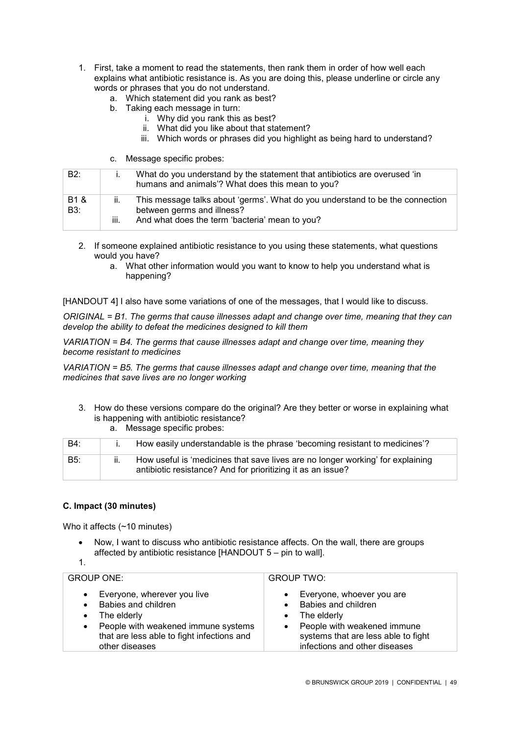- 1. First, take a moment to read the statements, then rank them in order of how well each explains what antibiotic resistance is. As you are doing this, please underline or circle any words or phrases that you do not understand.
	- a. Which statement did you rank as best?
	- b. Taking each message in turn:
		- i. Why did you rank this as best?
			- ii. What did you like about that statement?
		- iii. Which words or phrases did you highlight as being hard to understand?
	- c. Message specific probes:

| B2:                     |              | What do you understand by the statement that antibiotics are overused 'in<br>humans and animals'? What does this mean to you?                                 |
|-------------------------|--------------|---------------------------------------------------------------------------------------------------------------------------------------------------------------|
| B <sub>1</sub> &<br>B3: | ii.<br>-iii. | This message talks about 'germs'. What do you understand to be the connection<br>between germs and illness?<br>And what does the term 'bacteria' mean to you? |

- 2. If someone explained antibiotic resistance to you using these statements, what questions would you have?
	- a. What other information would you want to know to help you understand what is happening?

[HANDOUT 4] I also have some variations of one of the messages, that I would like to discuss.

*ORIGINAL = B1. The germs that cause illnesses adapt and change over time, meaning that they can develop the ability to defeat the medicines designed to kill them*

*VARIATION = B4. The germs that cause illnesses adapt and change over time, meaning they become resistant to medicines* 

*VARIATION = B5. The germs that cause illnesses adapt and change over time, meaning that the medicines that save lives are no longer working*

3. How do these versions compare do the original? Are they better or worse in explaining what is happening with antibiotic resistance? a. Message specific probes:

| B4: | How easily understandable is the phrase 'becoming resistant to medicines'?                                                                    |
|-----|-----------------------------------------------------------------------------------------------------------------------------------------------|
| B5: | How useful is 'medicines that save lives are no longer working' for explaining<br>antibiotic resistance? And for prioritizing it as an issue? |

### **C. Impact (30 minutes)**

Who it affects (~10 minutes)

- Now, I want to discuss who antibiotic resistance affects. On the wall, there are groups affected by antibiotic resistance [HANDOUT 5 – pin to wall].
- 1.

| GROUP ONE: I                                                                                                                                                                           | <b>GROUP TWO:</b>                                                                                                                                                      |
|----------------------------------------------------------------------------------------------------------------------------------------------------------------------------------------|------------------------------------------------------------------------------------------------------------------------------------------------------------------------|
| • Everyone, wherever you live<br>Babies and children<br>$\bullet$ The elderly<br>• People with weakened immune systems<br>that are less able to fight infections and<br>other diseases | Everyone, whoever you are<br>Babies and children<br>The elderly<br>People with weakened immune<br>systems that are less able to fight<br>infections and other diseases |
|                                                                                                                                                                                        |                                                                                                                                                                        |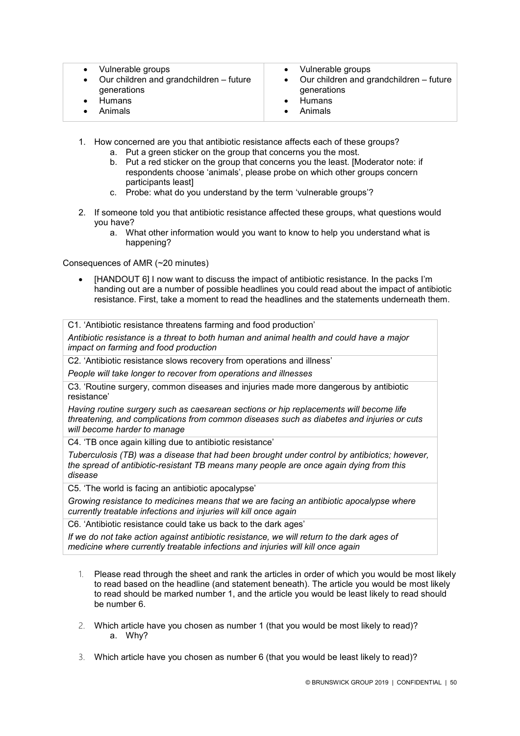| • Vulnerable groups                       | • Vulnerable groups                               |
|-------------------------------------------|---------------------------------------------------|
| • Our children and grandchildren - future | $\bullet$ Our children and grandchildren – future |
| generations                               | generations                                       |
| <b>Humans</b>                             | Humans                                            |
| Animals                                   | • Animals                                         |

- 1. How concerned are you that antibiotic resistance affects each of these groups?
	- a. Put a green sticker on the group that concerns you the most.
	- b. Put a red sticker on the group that concerns you the least. [Moderator note: if respondents choose 'animals', please probe on which other groups concern participants least]
	- c. Probe: what do you understand by the term 'vulnerable groups'?
- 2. If someone told you that antibiotic resistance affected these groups, what questions would you have?
	- a. What other information would you want to know to help you understand what is happening?

Consequences of AMR (~20 minutes)

• [HANDOUT 6] I now want to discuss the impact of antibiotic resistance. In the packs I'm handing out are a number of possible headlines you could read about the impact of antibiotic resistance. First, take a moment to read the headlines and the statements underneath them.

C1. 'Antibiotic resistance threatens farming and food production'

*Antibiotic resistance is a threat to both human and animal health and could have a major impact on farming and food production*

C2. 'Antibiotic resistance slows recovery from operations and illness'

*People will take longer to recover from operations and illnesses*

C3. 'Routine surgery, common diseases and injuries made more dangerous by antibiotic resistance'

*Having routine surgery such as caesarean sections or hip replacements will become life threatening, and complications from common diseases such as diabetes and injuries or cuts will become harder to manage*

C4. 'TB once again killing due to antibiotic resistance'

*Tuberculosis (TB) was a disease that had been brought under control by antibiotics; however, the spread of antibiotic-resistant TB means many people are once again dying from this disease*

C5. 'The world is facing an antibiotic apocalypse'

*Growing resistance to medicines means that we are facing an antibiotic apocalypse where currently treatable infections and injuries will kill once again*

C6. 'Antibiotic resistance could take us back to the dark ages'

*If we do not take action against antibiotic resistance, we will return to the dark ages of medicine where currently treatable infections and injuries will kill once again*

- 1. Please read through the sheet and rank the articles in order of which you would be most likely to read based on the headline (and statement beneath). The article you would be most likely to read should be marked number 1, and the article you would be least likely to read should be number 6.
- 2. Which article have you chosen as number 1 (that you would be most likely to read)? a. Why?
- 3. Which article have you chosen as number 6 (that you would be least likely to read)?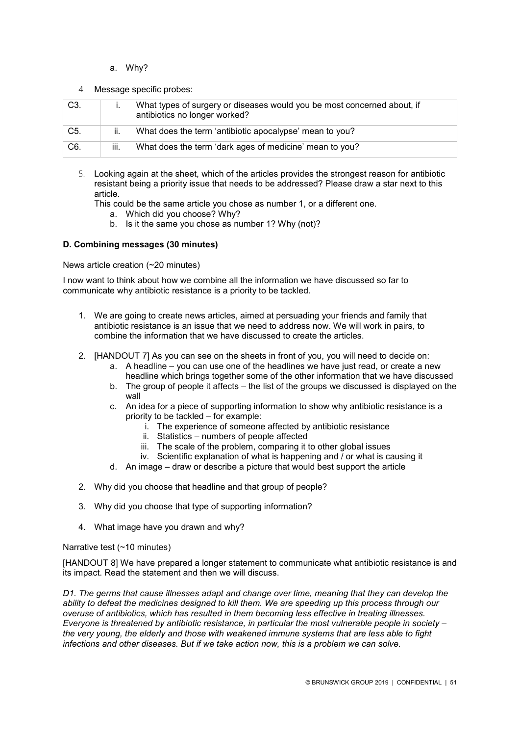- a. Why?
- 4. Message specific probes:

| C3.              |      | What types of surgery or diseases would you be most concerned about, if<br>antibiotics no longer worked? |
|------------------|------|----------------------------------------------------------------------------------------------------------|
| C <sub>5</sub> . | ii.  | What does the term 'antibiotic apocalypse' mean to you?                                                  |
| C6.              | iii. | What does the term 'dark ages of medicine' mean to you?                                                  |

5. Looking again at the sheet, which of the articles provides the strongest reason for antibiotic resistant being a priority issue that needs to be addressed? Please draw a star next to this article.

This could be the same article you chose as number 1, or a different one.

- a. Which did you choose? Why?
- b. Is it the same you chose as number 1? Why (not)?

### **D. Combining messages (30 minutes)**

News article creation (~20 minutes)

I now want to think about how we combine all the information we have discussed so far to communicate why antibiotic resistance is a priority to be tackled.

- 1. We are going to create news articles, aimed at persuading your friends and family that antibiotic resistance is an issue that we need to address now. We will work in pairs, to combine the information that we have discussed to create the articles.
- 2. [HANDOUT 7] As you can see on the sheets in front of you, you will need to decide on:
	- a. A headline you can use one of the headlines we have just read, or create a new headline which brings together some of the other information that we have discussed
	- b. The group of people it affects the list of the groups we discussed is displayed on the wall
	- c. An idea for a piece of supporting information to show why antibiotic resistance is a priority to be tackled – for example:
		- i. The experience of someone affected by antibiotic resistance
		- ii. Statistics numbers of people affected
		- iii. The scale of the problem, comparing it to other global issues
		- iv. Scientific explanation of what is happening and / or what is causing it
	- d. An image draw or describe a picture that would best support the article
- 2. Why did you choose that headline and that group of people?
- 3. Why did you choose that type of supporting information?
- 4. What image have you drawn and why?

### Narrative test (~10 minutes)

[HANDOUT 8] We have prepared a longer statement to communicate what antibiotic resistance is and its impact. Read the statement and then we will discuss.

*D1. The germs that cause illnesses adapt and change over time, meaning that they can develop the ability to defeat the medicines designed to kill them. We are speeding up this process through our overuse of antibiotics, which has resulted in them becoming less effective in treating illnesses. Everyone is threatened by antibiotic resistance, in particular the most vulnerable people in society – the very young, the elderly and those with weakened immune systems that are less able to fight infections and other diseases. But if we take action now, this is a problem we can solve.*